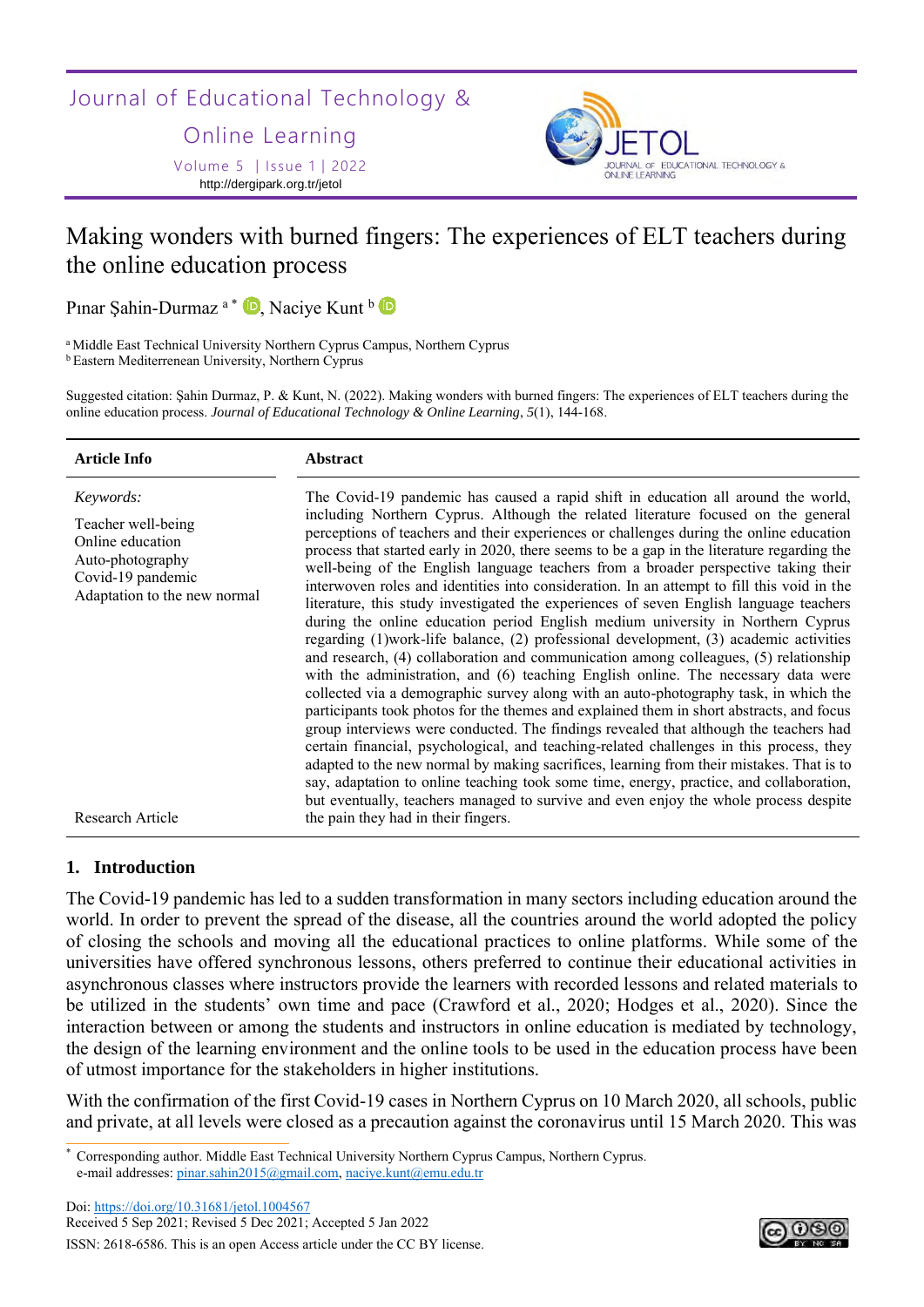Journal of Educational Technology &

Online Learning

Volume 5 │Issue 1│2022 http://dergipark.org.tr/jetol



# Making wonders with burned fingers: The experiences of ELT teachers during the online education process

Pınar Şahin-Durmaz<sup>a\*</sup> D[,](https://orcid.org/0000-0002-2249-4123) Naciye Kunt b

<sup>a</sup> Middle East Technical University Northern Cyprus Campus, Northern Cyprus <sup>b</sup> Eastern Mediterrenean University, Northern Cyprus

Suggested citation: Şahin Durmaz, P. & Kunt, N. (2022). Making wonders with burned fingers: The experiences of ELT teachers during the online education process. *Journal of Educational Technology & Online Learning*, *5*(1), 144-168.

| <b>Article Info</b>                                                                                                          | <b>Abstract</b>                                                                                                                                                                                                                                                                                                                                                                                                                                                                                                                                                                                                                                                                                                                                                                                                                                                                                                                                                                                                                                                                                                                                                                                                                                                                                                                                                                                                                                                                                                                                                                                                                                                        |
|------------------------------------------------------------------------------------------------------------------------------|------------------------------------------------------------------------------------------------------------------------------------------------------------------------------------------------------------------------------------------------------------------------------------------------------------------------------------------------------------------------------------------------------------------------------------------------------------------------------------------------------------------------------------------------------------------------------------------------------------------------------------------------------------------------------------------------------------------------------------------------------------------------------------------------------------------------------------------------------------------------------------------------------------------------------------------------------------------------------------------------------------------------------------------------------------------------------------------------------------------------------------------------------------------------------------------------------------------------------------------------------------------------------------------------------------------------------------------------------------------------------------------------------------------------------------------------------------------------------------------------------------------------------------------------------------------------------------------------------------------------------------------------------------------------|
| Keywords:<br>Teacher well-being<br>Online education<br>Auto-photography<br>Covid-19 pandemic<br>Adaptation to the new normal | The Covid-19 pandemic has caused a rapid shift in education all around the world,<br>including Northern Cyprus. Although the related literature focused on the general<br>perceptions of teachers and their experiences or challenges during the online education<br>process that started early in 2020, there seems to be a gap in the literature regarding the<br>well-being of the English language teachers from a broader perspective taking their<br>interwoven roles and identities into consideration. In an attempt to fill this void in the<br>literature, this study investigated the experiences of seven English language teachers<br>during the online education period English medium university in Northern Cyprus<br>regarding $(1)$ work-life balance, $(2)$ professional development, $(3)$ academic activities<br>and research, (4) collaboration and communication among colleagues, (5) relationship<br>with the administration, and (6) teaching English online. The necessary data were<br>collected via a demographic survey along with an auto-photography task, in which the<br>participants took photos for the themes and explained them in short abstracts, and focus<br>group interviews were conducted. The findings revealed that although the teachers had<br>certain financial, psychological, and teaching-related challenges in this process, they<br>adapted to the new normal by making sacrifices, learning from their mistakes. That is to<br>say, adaptation to online teaching took some time, energy, practice, and collaboration,<br>but eventually, teachers managed to survive and even enjoy the whole process despite |
| Research Article                                                                                                             | the pain they had in their fingers.                                                                                                                                                                                                                                                                                                                                                                                                                                                                                                                                                                                                                                                                                                                                                                                                                                                                                                                                                                                                                                                                                                                                                                                                                                                                                                                                                                                                                                                                                                                                                                                                                                    |

# **1. Introduction**

The Covid-19 pandemic has led to a sudden transformation in many sectors including education around the world. In order to prevent the spread of the disease, all the countries around the world adopted the policy of closing the schools and moving all the educational practices to online platforms. While some of the universities have offered synchronous lessons, others preferred to continue their educational activities in asynchronous classes where instructors provide the learners with recorded lessons and related materials to be utilized in the students' own time and pace (Crawford et al., 2020; Hodges et al., 2020). Since the interaction between or among the students and instructors in online education is mediated by technology, the design of the learning environment and the online tools to be used in the education process have been of utmost importance for the stakeholders in higher institutions.

With the confirmation of the first Covid-19 cases in Northern Cyprus on 10 March 2020, all schools, public and private, at all levels were closed as a precaution against the coronavirus until 15 March 2020. This was



<sup>\*</sup> Corresponding author. Middle East Technical University Northern Cyprus Campus, Northern Cyprus. e-mail addresses: [pinar.sahin2015@gmail.com,](mailto:pinar.sahin2015@gmail.com) [naciye.kunt@emu.edu.tr](mailto:naciye.kunt@emu.edu.tr)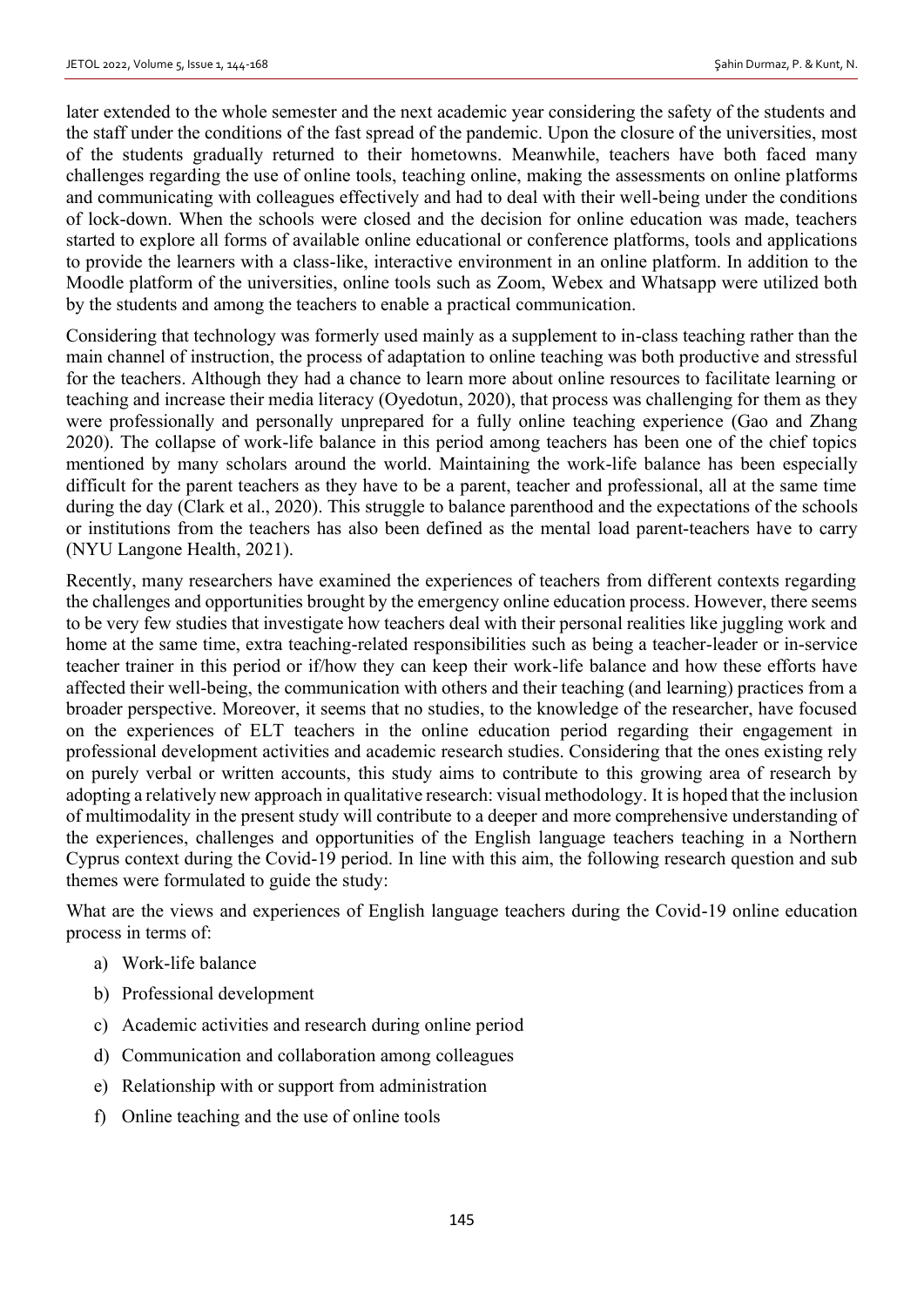later extended to the whole semester and the next academic year considering the safety of the students and the staff under the conditions of the fast spread of the pandemic. Upon the closure of the universities, most of the students gradually returned to their hometowns. Meanwhile, teachers have both faced many challenges regarding the use of online tools, teaching online, making the assessments on online platforms and communicating with colleagues effectively and had to deal with their well-being under the conditions of lock-down. When the schools were closed and the decision for online education was made, teachers started to explore all forms of available online educational or conference platforms, tools and applications to provide the learners with a class-like, interactive environment in an online platform. In addition to the Moodle platform of the universities, online tools such as Zoom, Webex and Whatsapp were utilized both by the students and among the teachers to enable a practical communication.

Considering that technology was formerly used mainly as a supplement to in-class teaching rather than the main channel of instruction, the process of adaptation to online teaching was both productive and stressful for the teachers. Although they had a chance to learn more about online resources to facilitate learning or teaching and increase their media literacy (Oyedotun, 2020), that process was challenging for them as they were professionally and personally unprepared for a fully online teaching experience (Gao and Zhang 2020). The collapse of work-life balance in this period among teachers has been one of the chief topics mentioned by many scholars around the world. Maintaining the work-life balance has been especially difficult for the parent teachers as they have to be a parent, teacher and professional, all at the same time during the day (Clark et al., 2020). This struggle to balance parenthood and the expectations of the schools or institutions from the teachers has also been defined as the mental load parent-teachers have to carry (NYU Langone Health, 2021).

Recently, many researchers have examined the experiences of teachers from different contexts regarding the challenges and opportunities brought by the emergency online education process. However, there seems to be very few studies that investigate how teachers deal with their personal realities like juggling work and home at the same time, extra teaching-related responsibilities such as being a teacher-leader or in-service teacher trainer in this period or if/how they can keep their work-life balance and how these efforts have affected their well-being, the communication with others and their teaching (and learning) practices from a broader perspective. Moreover, it seems that no studies, to the knowledge of the researcher, have focused on the experiences of ELT teachers in the online education period regarding their engagement in professional development activities and academic research studies. Considering that the ones existing rely on purely verbal or written accounts, this study aims to contribute to this growing area of research by adopting a relatively new approach in qualitative research: visual methodology. It is hoped that the inclusion of multimodality in the present study will contribute to a deeper and more comprehensive understanding of the experiences, challenges and opportunities of the English language teachers teaching in a Northern Cyprus context during the Covid-19 period. In line with this aim, the following research question and sub themes were formulated to guide the study:

What are the views and experiences of English language teachers during the Covid-19 online education process in terms of:

- a) Work-life balance
- b) Professional development
- c) Academic activities and research during online period
- d) Communication and collaboration among colleagues
- e) Relationship with or support from administration
- f) Online teaching and the use of online tools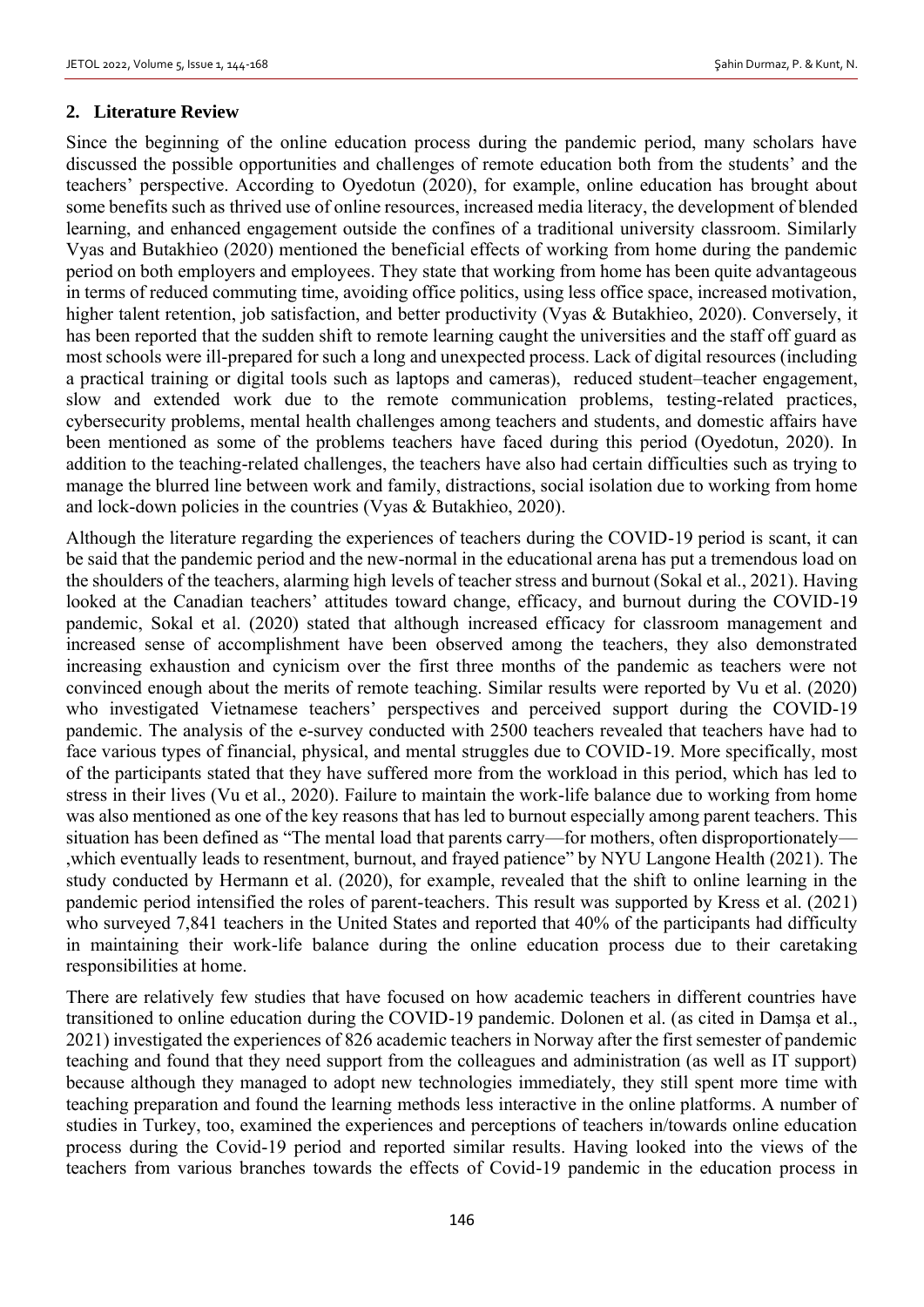## **2. Literature Review**

Since the beginning of the online education process during the pandemic period, many scholars have discussed the possible opportunities and challenges of remote education both from the students' and the teachers' perspective. According to Oyedotun (2020), for example, online education has brought about some benefits such as thrived use of online resources, increased media literacy, the development of blended learning, and enhanced engagement outside the confines of a traditional university classroom. Similarly Vyas and Butakhieo (2020) mentioned the beneficial effects of working from home during the pandemic period on both employers and employees. They state that working from home has been quite advantageous in terms of reduced commuting time, avoiding office politics, using less office space, increased motivation, higher talent retention, job satisfaction, and better productivity (Vyas & Butakhieo, 2020). Conversely, it has been reported that the sudden shift to remote learning caught the universities and the staff off guard as most schools were ill-prepared for such a long and unexpected process. Lack of digital resources (including a practical training or digital tools such as laptops and cameras), reduced student–teacher engagement, slow and extended work due to the remote communication problems, testing-related practices, cybersecurity problems, mental health challenges among teachers and students, and domestic affairs have been mentioned as some of the problems teachers have faced during this period (Oyedotun, 2020). In addition to the teaching-related challenges, the teachers have also had certain difficulties such as trying to manage the blurred line between work and family, distractions, social isolation due to working from home and lock-down policies in the countries (Vyas & Butakhieo, 2020).

Although the literature regarding the experiences of teachers during the COVID-19 period is scant, it can be said that the pandemic period and the new-normal in the educational arena has put a tremendous load on the shoulders of the teachers, alarming high levels of teacher stress and burnout (Sokal et al., 2021). Having looked at the Canadian teachers' attitudes toward change, efficacy, and burnout during the COVID-19 pandemic, Sokal et al. (2020) stated that although increased efficacy for classroom management and increased sense of accomplishment have been observed among the teachers, they also demonstrated increasing exhaustion and cynicism over the first three months of the pandemic as teachers were not convinced enough about the merits of remote teaching. Similar results were reported by Vu et al. (2020) who investigated Vietnamese teachers' perspectives and perceived support during the COVID-19 pandemic. The analysis of the e-survey conducted with 2500 teachers revealed that teachers have had to face various types of financial, physical, and mental struggles due to COVID-19. More specifically, most of the participants stated that they have suffered more from the workload in this period, which has led to stress in their lives (Vu et al., 2020). Failure to maintain the work-life balance due to working from home was also mentioned as one of the key reasons that has led to burnout especially among parent teachers. This situation has been defined as "The mental load that parents carry—for mothers, often disproportionately— ,which eventually leads to resentment, burnout, and frayed patience" by NYU Langone Health (2021). The study conducted by Hermann et al. (2020), for example, revealed that the shift to online learning in the pandemic period intensified the roles of parent-teachers. This result was supported by Kress et al. (2021) who surveyed 7,841 teachers in the United States and reported that 40% of the participants had difficulty in maintaining their work-life balance during the online education process due to their caretaking responsibilities at home.

There are relatively few studies that have focused on how academic teachers in different countries have transitioned to online education during the COVID-19 pandemic. Dolonen et al. (as cited in Damşa et al., 2021) investigated the experiences of 826 academic teachers in Norway after the first semester of pandemic teaching and found that they need support from the colleagues and administration (as well as IT support) because although they managed to adopt new technologies immediately, they still spent more time with teaching preparation and found the learning methods less interactive in the online platforms. A number of studies in Turkey, too, examined the experiences and perceptions of teachers in/towards online education process during the Covid-19 period and reported similar results. Having looked into the views of the teachers from various branches towards the effects of Covid-19 pandemic in the education process in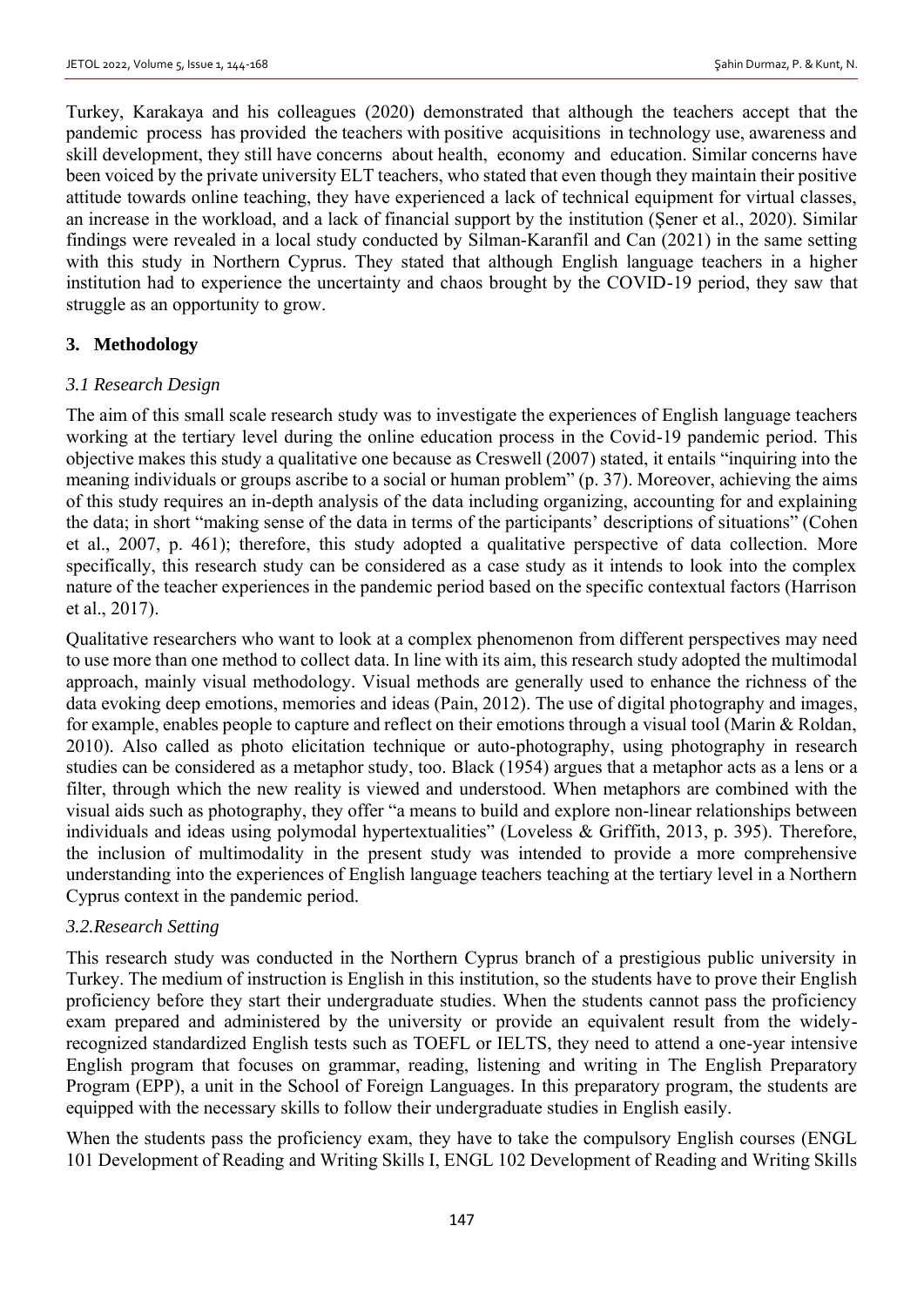Turkey, Karakaya and his colleagues (2020) demonstrated that although the teachers accept that the pandemic process has provided the teachers with positive acquisitions in technology use, awareness and skill development, they still have concerns about health, economy and education. Similar concerns have been voiced by the private university ELT teachers, who stated that even though they maintain their positive attitude towards online teaching, they have experienced a lack of technical equipment for virtual classes, an increase in the workload, and a lack of financial support by the institution (Şener et al., 2020). Similar findings were revealed in a local study conducted by Silman-Karanfil and Can (2021) in the same setting with this study in Northern Cyprus. They stated that although English language teachers in a higher institution had to experience the uncertainty and chaos brought by the COVID-19 period, they saw that struggle as an opportunity to grow.

### **3. Methodology**

### *3.1 Research Design*

The aim of this small scale research study was to investigate the experiences of English language teachers working at the tertiary level during the online education process in the Covid-19 pandemic period. This objective makes this study a qualitative one because as Creswell (2007) stated, it entails "inquiring into the meaning individuals or groups ascribe to a social or human problem" (p. 37). Moreover, achieving the aims of this study requires an in-depth analysis of the data including organizing, accounting for and explaining the data; in short "making sense of the data in terms of the participants' descriptions of situations" (Cohen et al., 2007, p. 461); therefore, this study adopted a qualitative perspective of data collection. More specifically, this research study can be considered as a case study as it intends to look into the complex nature of the teacher experiences in the pandemic period based on the specific contextual factors (Harrison et al., 2017).

Qualitative researchers who want to look at a complex phenomenon from different perspectives may need to use more than one method to collect data. In line with its aim, this research study adopted the multimodal approach, mainly visual methodology. Visual methods are generally used to enhance the richness of the data evoking deep emotions, memories and ideas (Pain, 2012). The use of digital photography and images, for example, enables people to capture and reflect on their emotions through a visual tool (Marin & Roldan, 2010). Also called as photo elicitation technique or auto-photography, using photography in research studies can be considered as a metaphor study, too. Black (1954) argues that a metaphor acts as a lens or a filter, through which the new reality is viewed and understood. When metaphors are combined with the visual aids such as photography, they offer "a means to build and explore non-linear relationships between individuals and ideas using polymodal hypertextualities" (Loveless & Griffith, 2013, p. 395). Therefore, the inclusion of multimodality in the present study was intended to provide a more comprehensive understanding into the experiences of English language teachers teaching at the tertiary level in a Northern Cyprus context in the pandemic period.

### *3.2.Research Setting*

This research study was conducted in the Northern Cyprus branch of a prestigious public university in Turkey. The medium of instruction is English in this institution, so the students have to prove their English proficiency before they start their undergraduate studies. When the students cannot pass the proficiency exam prepared and administered by the university or provide an equivalent result from the widelyrecognized standardized English tests such as TOEFL or IELTS, they need to attend a one-year intensive English program that focuses on grammar, reading, listening and writing in The English Preparatory Program (EPP), a unit in the School of Foreign Languages. In this preparatory program, the students are equipped with the necessary skills to follow their undergraduate studies in English easily.

When the students pass the proficiency exam, they have to take the compulsory English courses (ENGL 101 Development of Reading and Writing Skills I, ENGL 102 Development of Reading and Writing Skills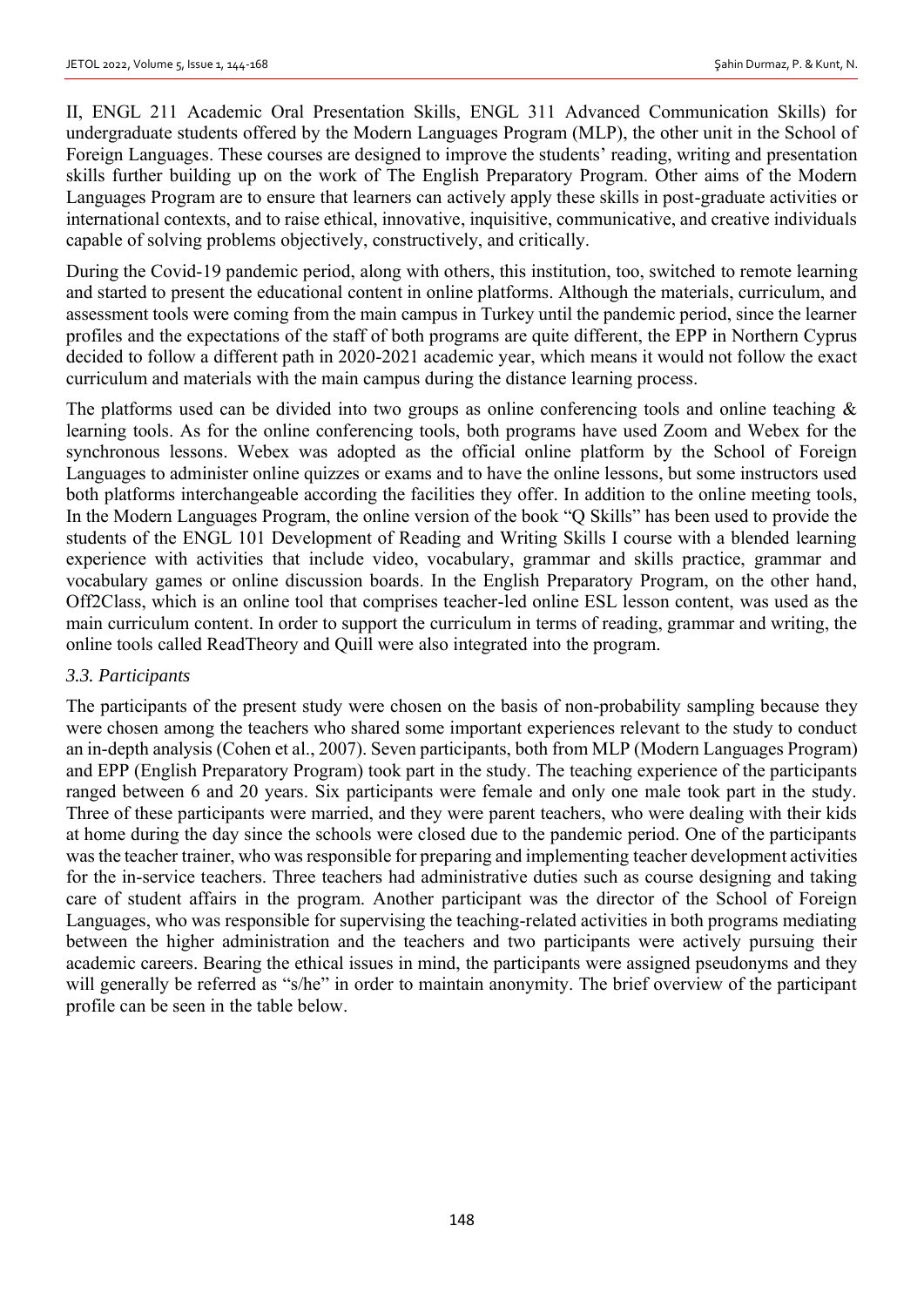II, ENGL 211 Academic Oral Presentation Skills, ENGL 311 Advanced Communication Skills) for undergraduate students offered by the Modern Languages Program (MLP), the other unit in the School of Foreign Languages. These courses are designed to improve the students' reading, writing and presentation skills further building up on the work of The English Preparatory Program. Other aims of the Modern Languages Program are to ensure that learners can actively apply these skills in post-graduate activities or international contexts, and to raise ethical, innovative, inquisitive, communicative, and creative individuals capable of solving problems objectively, constructively, and critically.

During the Covid-19 pandemic period, along with others, this institution, too, switched to remote learning and started to present the educational content in online platforms. Although the materials, curriculum, and assessment tools were coming from the main campus in Turkey until the pandemic period, since the learner profiles and the expectations of the staff of both programs are quite different, the EPP in Northern Cyprus decided to follow a different path in 2020-2021 academic year, which means it would not follow the exact curriculum and materials with the main campus during the distance learning process.

The platforms used can be divided into two groups as online conferencing tools and online teaching & learning tools. As for the online conferencing tools, both programs have used Zoom and Webex for the synchronous lessons. Webex was adopted as the official online platform by the School of Foreign Languages to administer online quizzes or exams and to have the online lessons, but some instructors used both platforms interchangeable according the facilities they offer. In addition to the online meeting tools, In the Modern Languages Program, the online version of the book "Q Skills" has been used to provide the students of the ENGL 101 Development of Reading and Writing Skills I course with a blended learning experience with activities that include video, vocabulary, grammar and skills practice, grammar and vocabulary games or online discussion boards. In the English Preparatory Program, on the other hand, Off2Class, which is an online tool that comprises teacher-led online ESL lesson content, was used as the main curriculum content. In order to support the curriculum in terms of reading, grammar and writing, the online tools called ReadTheory and Quill were also integrated into the program.

### *3.3. Participants*

The participants of the present study were chosen on the basis of non-probability sampling because they were chosen among the teachers who shared some important experiences relevant to the study to conduct an in-depth analysis (Cohen et al., 2007). Seven participants, both from MLP (Modern Languages Program) and EPP (English Preparatory Program) took part in the study. The teaching experience of the participants ranged between 6 and 20 years. Six participants were female and only one male took part in the study. Three of these participants were married, and they were parent teachers, who were dealing with their kids at home during the day since the schools were closed due to the pandemic period. One of the participants was the teacher trainer, who was responsible for preparing and implementing teacher development activities for the in-service teachers. Three teachers had administrative duties such as course designing and taking care of student affairs in the program. Another participant was the director of the School of Foreign Languages, who was responsible for supervising the teaching-related activities in both programs mediating between the higher administration and the teachers and two participants were actively pursuing their academic careers. Bearing the ethical issues in mind, the participants were assigned pseudonyms and they will generally be referred as "s/he" in order to maintain anonymity. The brief overview of the participant profile can be seen in the table below.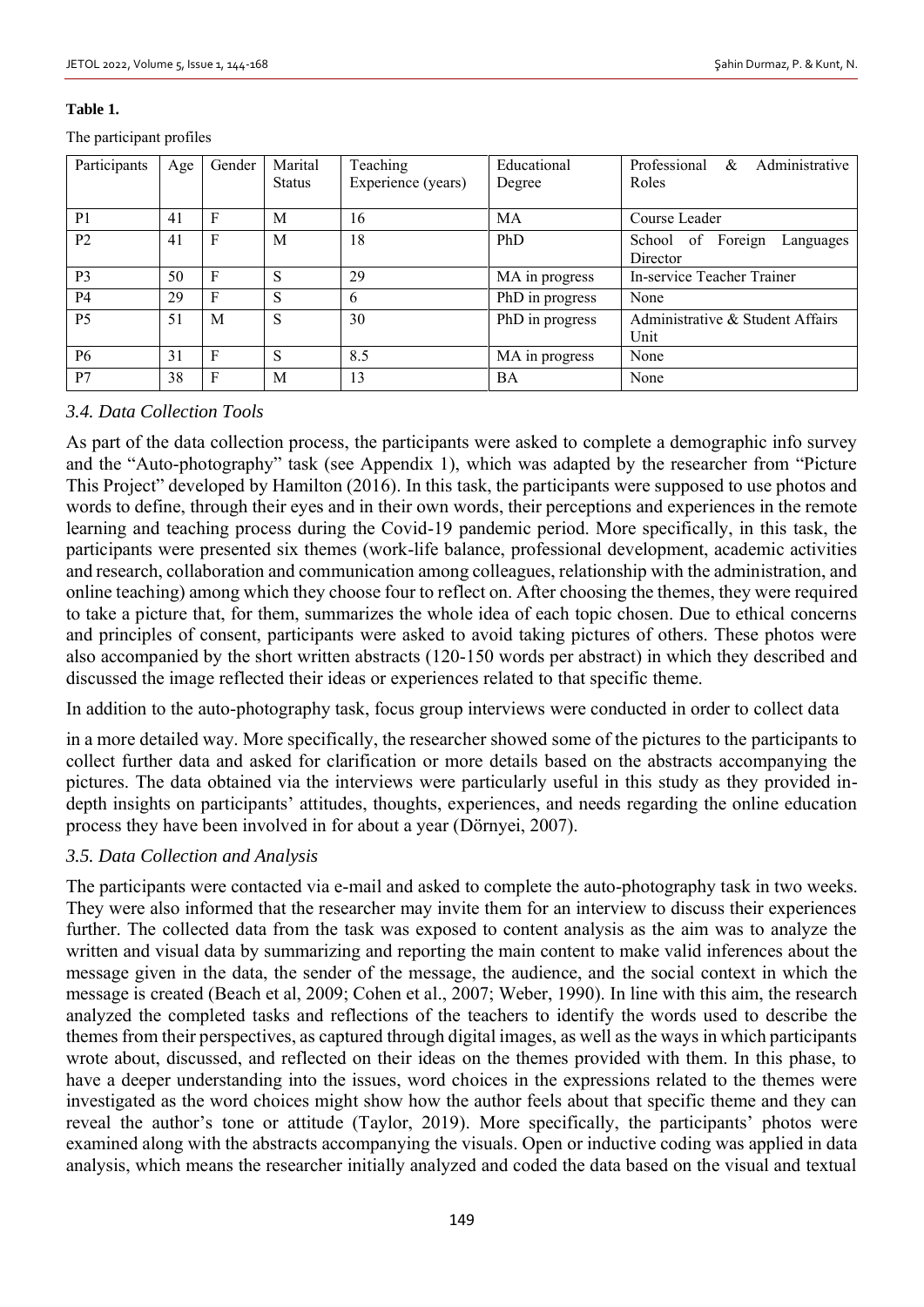#### **Table 1.**

The participant profiles

| Participants   | Age | Gender | Marital       | Teaching           | Educational     | Administrative<br>Professional<br>&        |
|----------------|-----|--------|---------------|--------------------|-----------------|--------------------------------------------|
|                |     |        | <b>Status</b> | Experience (years) | Degree          | Roles                                      |
| P <sub>1</sub> | 41  | F      | M             | 16                 | MA              | Course Leader                              |
| P <sub>2</sub> | 41  | F      | M             | 18                 | PhD             | School of Foreign<br>Languages<br>Director |
| P <sub>3</sub> | 50  | F      | S             | 29                 | MA in progress  | In-service Teacher Trainer                 |
| <b>P4</b>      | 29  | F      | S             | 6                  | PhD in progress | None                                       |
| P <sub>5</sub> | 51  | M      | S             | 30                 | PhD in progress | Administrative & Student Affairs<br>Unit   |
| P <sub>6</sub> | 31  | F      | S             | 8.5                | MA in progress  | None                                       |
| P7             | 38  | F      | M             | 13                 | BA              | None                                       |

### *3.4. Data Collection Tools*

As part of the data collection process, the participants were asked to complete a demographic info survey and the "Auto-photography" task (see Appendix 1), which was adapted by the researcher from "Picture This Project" developed by Hamilton (2016). In this task, the participants were supposed to use photos and words to define, through their eyes and in their own words, their perceptions and experiences in the remote learning and teaching process during the Covid-19 pandemic period. More specifically, in this task, the participants were presented six themes (work-life balance, professional development, academic activities and research, collaboration and communication among colleagues, relationship with the administration, and online teaching) among which they choose four to reflect on. After choosing the themes, they were required to take a picture that, for them, summarizes the whole idea of each topic chosen. Due to ethical concerns and principles of consent, participants were asked to avoid taking pictures of others. These photos were also accompanied by the short written abstracts (120-150 words per abstract) in which they described and discussed the image reflected their ideas or experiences related to that specific theme.

In addition to the auto-photography task, focus group interviews were conducted in order to collect data

in a more detailed way. More specifically, the researcher showed some of the pictures to the participants to collect further data and asked for clarification or more details based on the abstracts accompanying the pictures. The data obtained via the interviews were particularly useful in this study as they provided indepth insights on participants' attitudes, thoughts, experiences, and needs regarding the online education process they have been involved in for about a year (Dörnyei, 2007).

### *3.5. Data Collection and Analysis*

The participants were contacted via e-mail and asked to complete the auto-photography task in two weeks. They were also informed that the researcher may invite them for an interview to discuss their experiences further. The collected data from the task was exposed to content analysis as the aim was to analyze the written and visual data by summarizing and reporting the main content to make valid inferences about the message given in the data, the sender of the message, the audience, and the social context in which the message is created (Beach et al, 2009; Cohen et al., 2007; Weber, 1990). In line with this aim, the research analyzed the completed tasks and reflections of the teachers to identify the words used to describe the themes from their perspectives, as captured through digital images, as well as the ways in which participants wrote about, discussed, and reflected on their ideas on the themes provided with them. In this phase, to have a deeper understanding into the issues, word choices in the expressions related to the themes were investigated as the word choices might show how the author feels about that specific theme and they can reveal the author's tone or attitude (Taylor, 2019). More specifically, the participants' photos were examined along with the abstracts accompanying the visuals. Open or inductive coding was applied in data analysis, which means the researcher initially analyzed and coded the data based on the visual and textual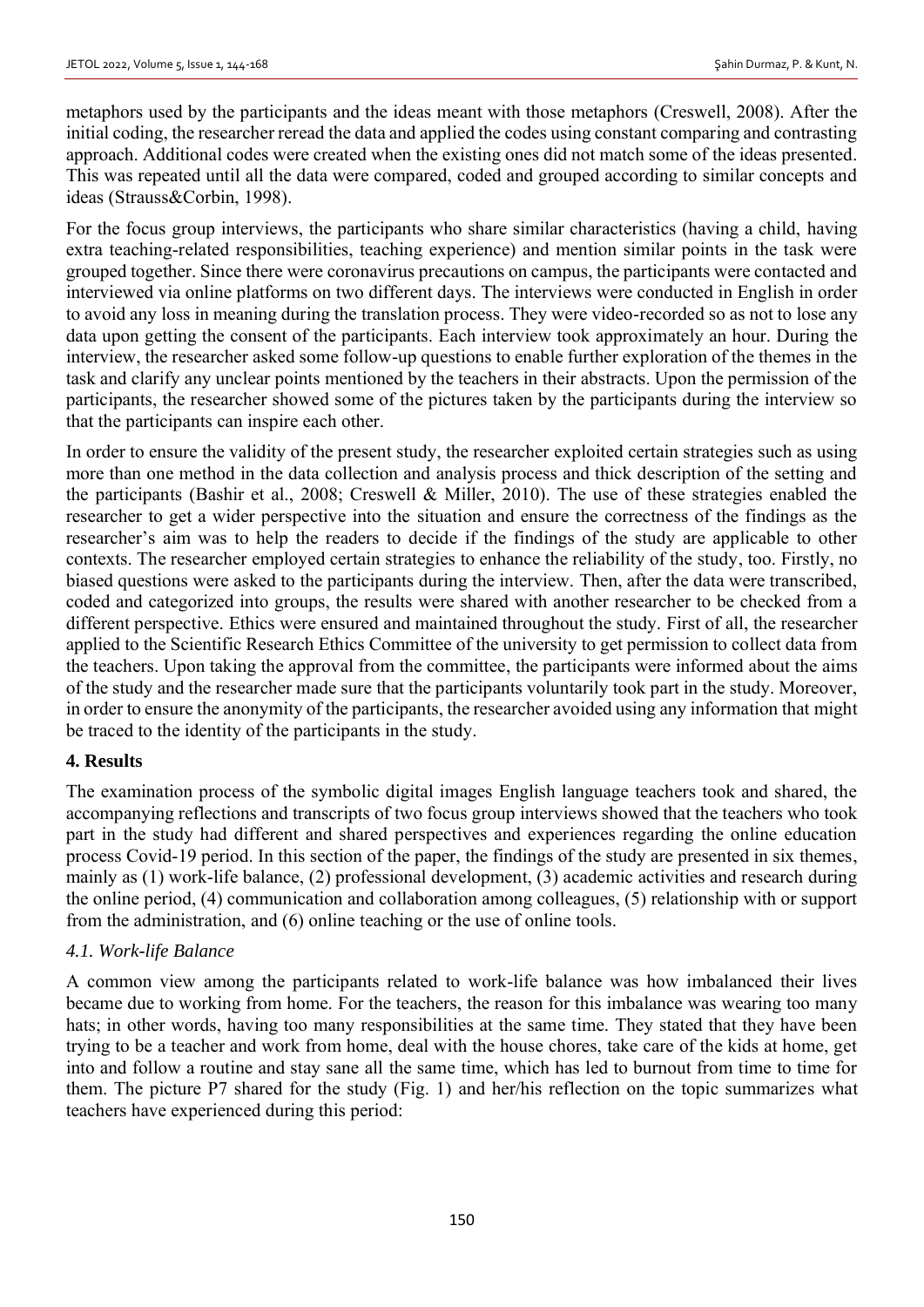metaphors used by the participants and the ideas meant with those metaphors (Creswell, 2008). After the initial coding, the researcher reread the data and applied the codes using constant comparing and contrasting approach. Additional codes were created when the existing ones did not match some of the ideas presented. This was repeated until all the data were compared, coded and grouped according to similar concepts and ideas (Strauss&Corbin, 1998).

For the focus group interviews, the participants who share similar characteristics (having a child, having extra teaching-related responsibilities, teaching experience) and mention similar points in the task were grouped together. Since there were coronavirus precautions on campus, the participants were contacted and interviewed via online platforms on two different days. The interviews were conducted in English in order to avoid any loss in meaning during the translation process. They were video-recorded so as not to lose any data upon getting the consent of the participants. Each interview took approximately an hour. During the interview, the researcher asked some follow-up questions to enable further exploration of the themes in the task and clarify any unclear points mentioned by the teachers in their abstracts. Upon the permission of the participants, the researcher showed some of the pictures taken by the participants during the interview so that the participants can inspire each other.

In order to ensure the validity of the present study, the researcher exploited certain strategies such as using more than one method in the data collection and analysis process and thick description of the setting and the participants (Bashir et al., 2008; Creswell & Miller, 2010). The use of these strategies enabled the researcher to get a wider perspective into the situation and ensure the correctness of the findings as the researcher's aim was to help the readers to decide if the findings of the study are applicable to other contexts. The researcher employed certain strategies to enhance the reliability of the study, too. Firstly, no biased questions were asked to the participants during the interview. Then, after the data were transcribed, coded and categorized into groups, the results were shared with another researcher to be checked from a different perspective. Ethics were ensured and maintained throughout the study. First of all, the researcher applied to the Scientific Research Ethics Committee of the university to get permission to collect data from the teachers. Upon taking the approval from the committee, the participants were informed about the aims of the study and the researcher made sure that the participants voluntarily took part in the study. Moreover, in order to ensure the anonymity of the participants, the researcher avoided using any information that might be traced to the identity of the participants in the study.

### **4. Results**

The examination process of the symbolic digital images English language teachers took and shared, the accompanying reflections and transcripts of two focus group interviews showed that the teachers who took part in the study had different and shared perspectives and experiences regarding the online education process Covid-19 period. In this section of the paper, the findings of the study are presented in six themes, mainly as (1) work-life balance, (2) professional development, (3) academic activities and research during the online period, (4) communication and collaboration among colleagues, (5) relationship with or support from the administration, and (6) online teaching or the use of online tools.

### *4.1. Work-life Balance*

A common view among the participants related to work-life balance was how imbalanced their lives became due to working from home. For the teachers, the reason for this imbalance was wearing too many hats; in other words, having too many responsibilities at the same time. They stated that they have been trying to be a teacher and work from home, deal with the house chores, take care of the kids at home, get into and follow a routine and stay sane all the same time, which has led to burnout from time to time for them. The picture P7 shared for the study (Fig. 1) and her/his reflection on the topic summarizes what teachers have experienced during this period: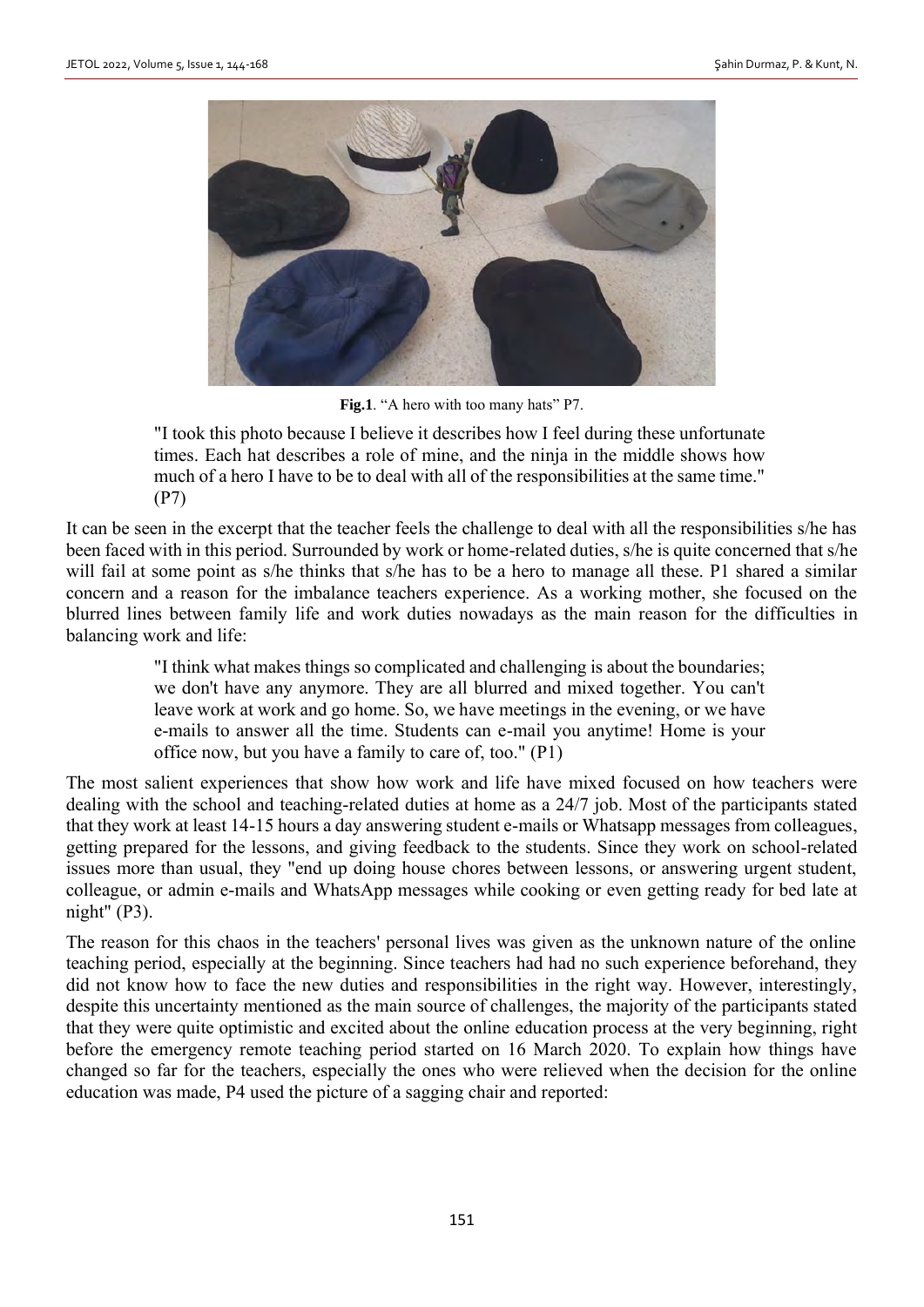

Fig.1. "A hero with too many hats" P7.

"I took this photo because I believe it describes how I feel during these unfortunate times. Each hat describes a role of mine, and the ninja in the middle shows how much of a hero I have to be to deal with all of the responsibilities at the same time." (P7)

It can be seen in the excerpt that the teacher feels the challenge to deal with all the responsibilities s/he has been faced with in this period. Surrounded by work or home-related duties, s/he is quite concerned that s/he will fail at some point as s/he thinks that s/he has to be a hero to manage all these. P1 shared a similar concern and a reason for the imbalance teachers experience. As a working mother, she focused on the blurred lines between family life and work duties nowadays as the main reason for the difficulties in balancing work and life:

> "I think what makes things so complicated and challenging is about the boundaries; we don't have any anymore. They are all blurred and mixed together. You can't leave work at work and go home. So, we have meetings in the evening, or we have e-mails to answer all the time. Students can e-mail you anytime! Home is your office now, but you have a family to care of, too." (P1)

The most salient experiences that show how work and life have mixed focused on how teachers were dealing with the school and teaching-related duties at home as a 24/7 job. Most of the participants stated that they work at least 14-15 hours a day answering student e-mails or Whatsapp messages from colleagues, getting prepared for the lessons, and giving feedback to the students. Since they work on school-related issues more than usual, they "end up doing house chores between lessons, or answering urgent student, colleague, or admin e-mails and WhatsApp messages while cooking or even getting ready for bed late at night" (P3).

The reason for this chaos in the teachers' personal lives was given as the unknown nature of the online teaching period, especially at the beginning. Since teachers had had no such experience beforehand, they did not know how to face the new duties and responsibilities in the right way. However, interestingly, despite this uncertainty mentioned as the main source of challenges, the majority of the participants stated that they were quite optimistic and excited about the online education process at the very beginning, right before the emergency remote teaching period started on 16 March 2020. To explain how things have changed so far for the teachers, especially the ones who were relieved when the decision for the online education was made, P4 used the picture of a sagging chair and reported: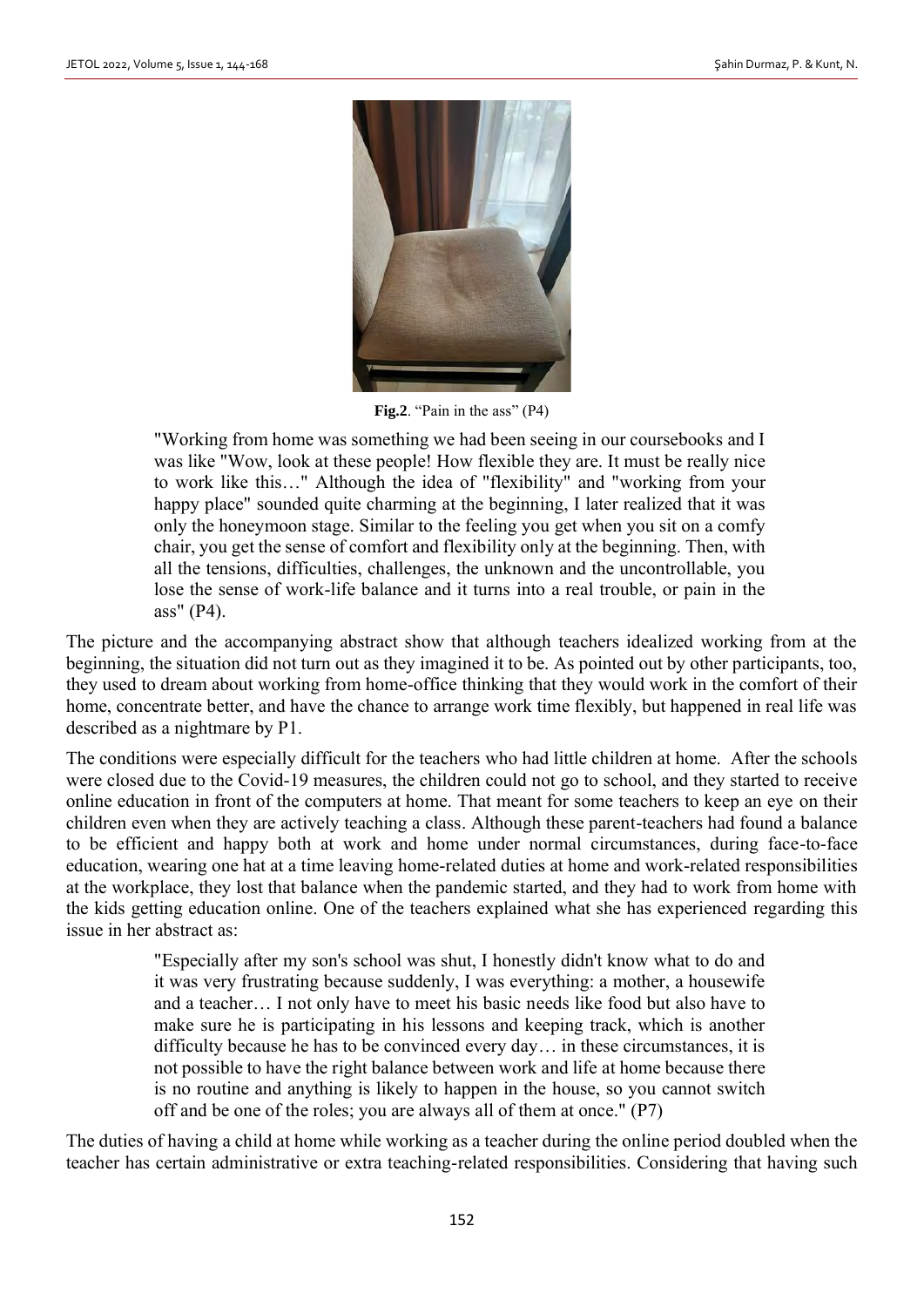

Fig.2. "Pain in the ass" (P4)

"Working from home was something we had been seeing in our coursebooks and I was like "Wow, look at these people! How flexible they are. It must be really nice to work like this…" Although the idea of "flexibility" and "working from your happy place" sounded quite charming at the beginning, I later realized that it was only the honeymoon stage. Similar to the feeling you get when you sit on a comfy chair, you get the sense of comfort and flexibility only at the beginning. Then, with all the tensions, difficulties, challenges, the unknown and the uncontrollable, you lose the sense of work-life balance and it turns into a real trouble, or pain in the ass" (P4).

The picture and the accompanying abstract show that although teachers idealized working from at the beginning, the situation did not turn out as they imagined it to be. As pointed out by other participants, too, they used to dream about working from home-office thinking that they would work in the comfort of their home, concentrate better, and have the chance to arrange work time flexibly, but happened in real life was described as a nightmare by P1.

The conditions were especially difficult for the teachers who had little children at home. After the schools were closed due to the Covid-19 measures, the children could not go to school, and they started to receive online education in front of the computers at home. That meant for some teachers to keep an eye on their children even when they are actively teaching a class. Although these parent-teachers had found a balance to be efficient and happy both at work and home under normal circumstances, during face-to-face education, wearing one hat at a time leaving home-related duties at home and work-related responsibilities at the workplace, they lost that balance when the pandemic started, and they had to work from home with the kids getting education online. One of the teachers explained what she has experienced regarding this issue in her abstract as:

> "Especially after my son's school was shut, I honestly didn't know what to do and it was very frustrating because suddenly, I was everything: a mother, a housewife and a teacher… I not only have to meet his basic needs like food but also have to make sure he is participating in his lessons and keeping track, which is another difficulty because he has to be convinced every day… in these circumstances, it is not possible to have the right balance between work and life at home because there is no routine and anything is likely to happen in the house, so you cannot switch off and be one of the roles; you are always all of them at once." (P7)

The duties of having a child at home while working as a teacher during the online period doubled when the teacher has certain administrative or extra teaching-related responsibilities. Considering that having such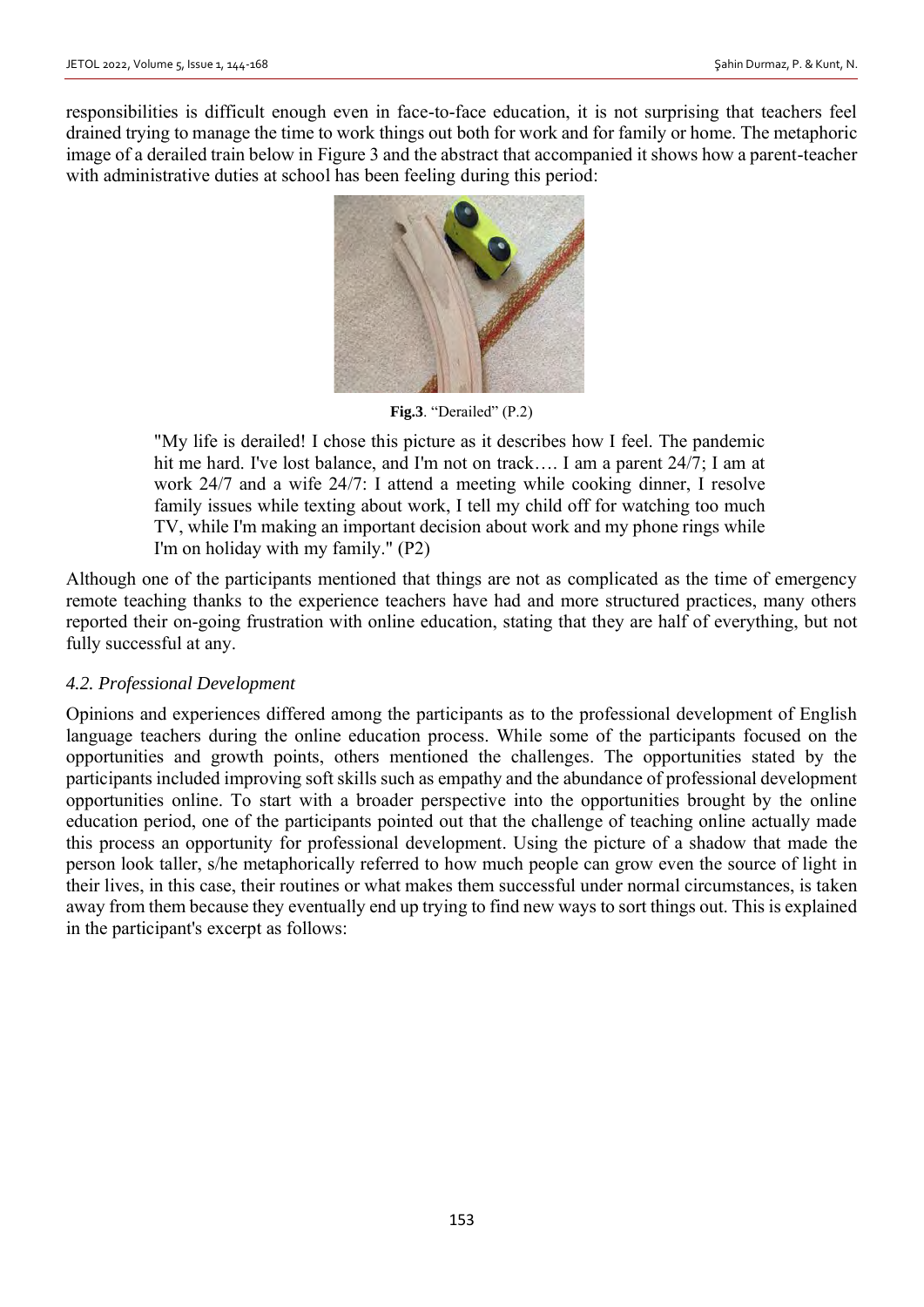responsibilities is difficult enough even in face-to-face education, it is not surprising that teachers feel drained trying to manage the time to work things out both for work and for family or home. The metaphoric image of a derailed train below in Figure 3 and the abstract that accompanied it shows how a parent-teacher with administrative duties at school has been feeling during this period:



**Fig.3**. "Derailed" (P.2)

"My life is derailed! I chose this picture as it describes how I feel. The pandemic hit me hard. I've lost balance, and I'm not on track.... I am a parent 24/7; I am at work 24/7 and a wife 24/7: I attend a meeting while cooking dinner, I resolve family issues while texting about work, I tell my child off for watching too much TV, while I'm making an important decision about work and my phone rings while I'm on holiday with my family." (P2)

Although one of the participants mentioned that things are not as complicated as the time of emergency remote teaching thanks to the experience teachers have had and more structured practices, many others reported their on-going frustration with online education, stating that they are half of everything, but not fully successful at any.

### *4.2. Professional Development*

Opinions and experiences differed among the participants as to the professional development of English language teachers during the online education process. While some of the participants focused on the opportunities and growth points, others mentioned the challenges. The opportunities stated by the participants included improving soft skills such as empathy and the abundance of professional development opportunities online. To start with a broader perspective into the opportunities brought by the online education period, one of the participants pointed out that the challenge of teaching online actually made this process an opportunity for professional development. Using the picture of a shadow that made the person look taller, s/he metaphorically referred to how much people can grow even the source of light in their lives, in this case, their routines or what makes them successful under normal circumstances, is taken away from them because they eventually end up trying to find new ways to sort things out. This is explained in the participant's excerpt as follows: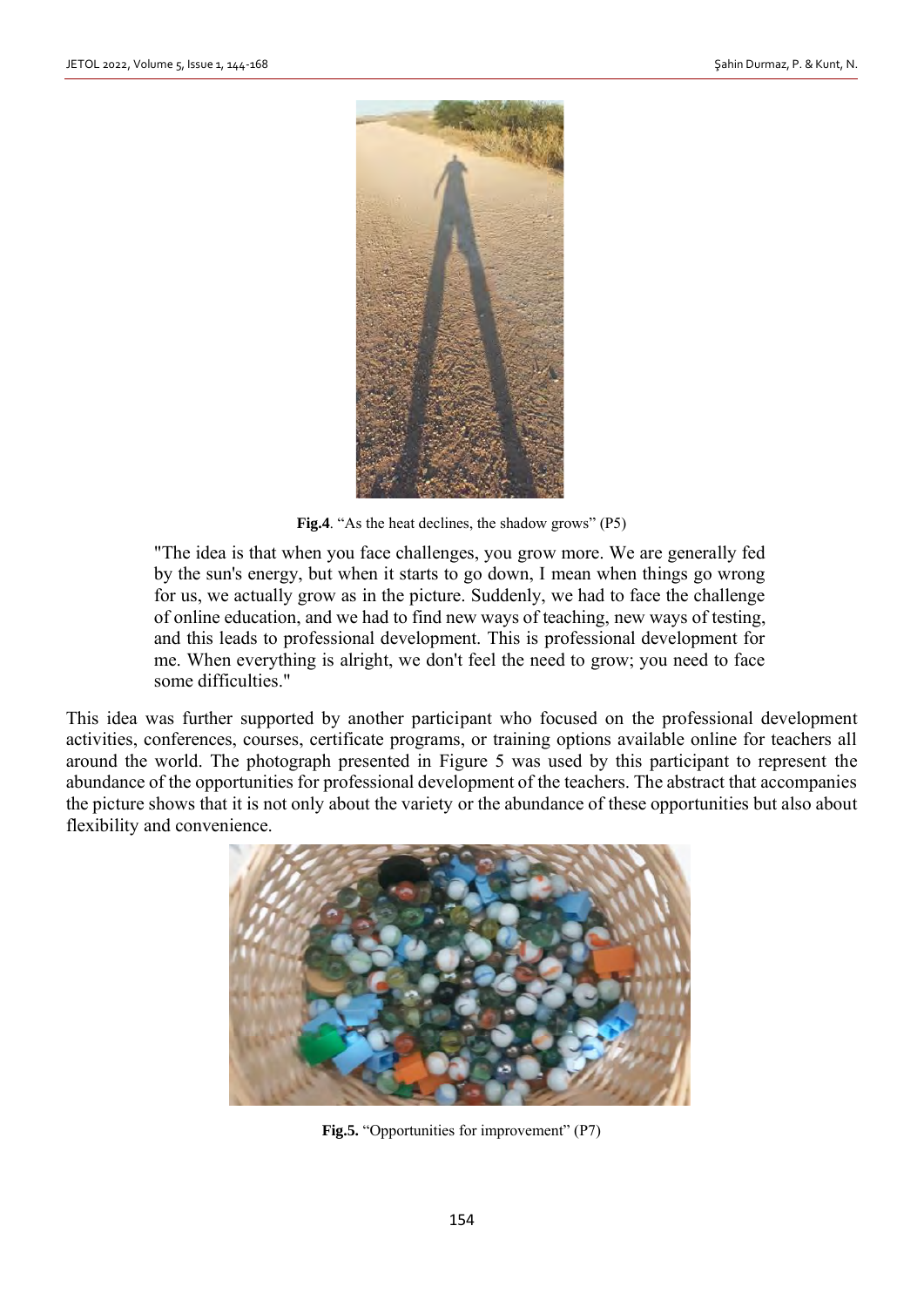

**Fig.4**. "As the heat declines, the shadow grows" (P5)

"The idea is that when you face challenges, you grow more. We are generally fed by the sun's energy, but when it starts to go down, I mean when things go wrong for us, we actually grow as in the picture. Suddenly, we had to face the challenge of online education, and we had to find new ways of teaching, new ways of testing, and this leads to professional development. This is professional development for me. When everything is alright, we don't feel the need to grow; you need to face some difficulties."

This idea was further supported by another participant who focused on the professional development activities, conferences, courses, certificate programs, or training options available online for teachers all around the world. The photograph presented in Figure 5 was used by this participant to represent the abundance of the opportunities for professional development of the teachers. The abstract that accompanies the picture shows that it is not only about the variety or the abundance of these opportunities but also about flexibility and convenience.



**Fig.5.** "Opportunities for improvement" (P7)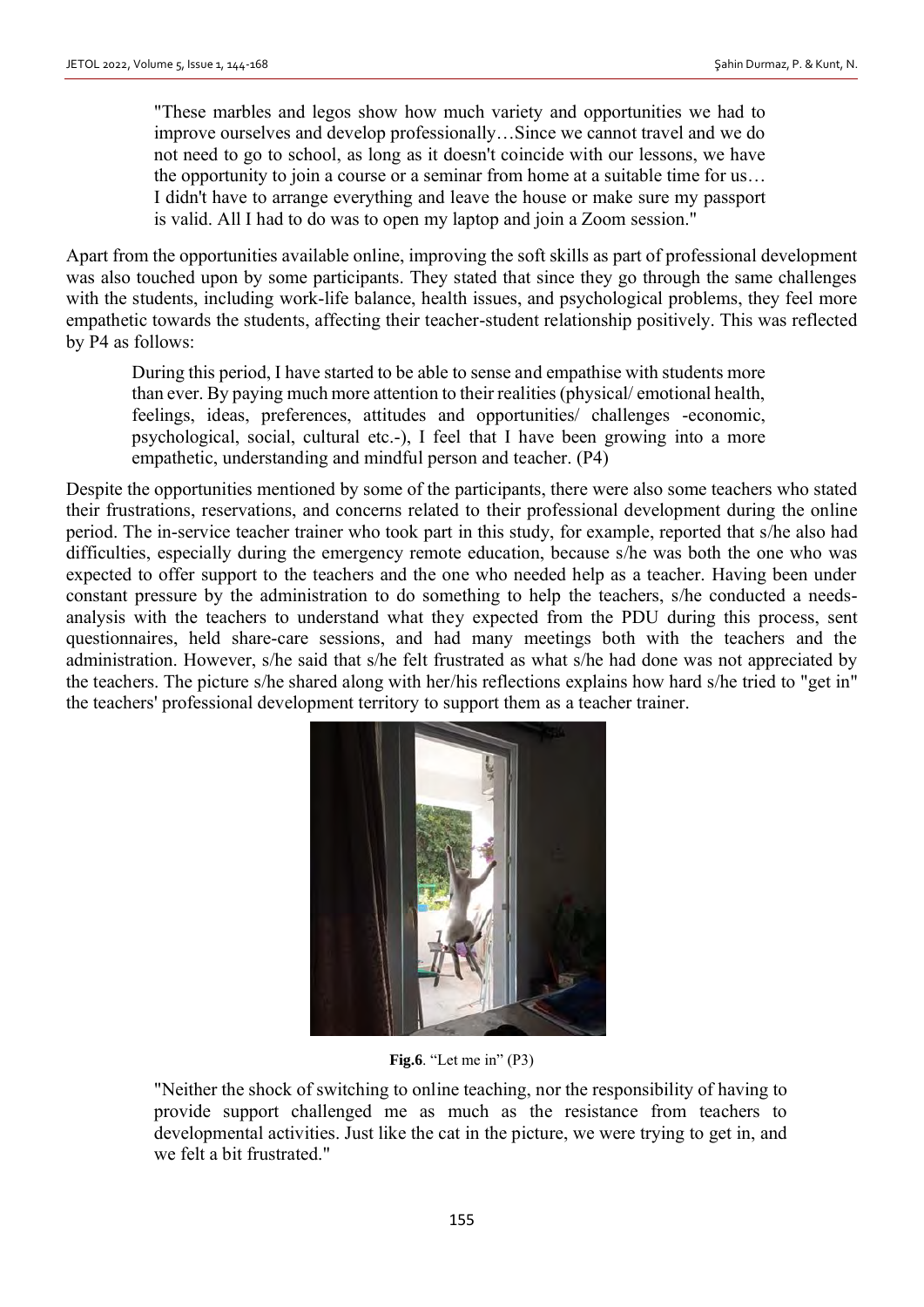"These marbles and legos show how much variety and opportunities we had to improve ourselves and develop professionally…Since we cannot travel and we do not need to go to school, as long as it doesn't coincide with our lessons, we have the opportunity to join a course or a seminar from home at a suitable time for us… I didn't have to arrange everything and leave the house or make sure my passport is valid. All I had to do was to open my laptop and join a Zoom session."

Apart from the opportunities available online, improving the soft skills as part of professional development was also touched upon by some participants. They stated that since they go through the same challenges with the students, including work-life balance, health issues, and psychological problems, they feel more empathetic towards the students, affecting their teacher-student relationship positively. This was reflected by P4 as follows:

During this period, I have started to be able to sense and empathise with students more than ever. By paying much more attention to their realities (physical/ emotional health, feelings, ideas, preferences, attitudes and opportunities/ challenges -economic, psychological, social, cultural etc.-), I feel that I have been growing into a more empathetic, understanding and mindful person and teacher. (P4)

Despite the opportunities mentioned by some of the participants, there were also some teachers who stated their frustrations, reservations, and concerns related to their professional development during the online period. The in-service teacher trainer who took part in this study, for example, reported that s/he also had difficulties, especially during the emergency remote education, because s/he was both the one who was expected to offer support to the teachers and the one who needed help as a teacher. Having been under constant pressure by the administration to do something to help the teachers, s/he conducted a needsanalysis with the teachers to understand what they expected from the PDU during this process, sent questionnaires, held share-care sessions, and had many meetings both with the teachers and the administration. However, s/he said that s/he felt frustrated as what s/he had done was not appreciated by the teachers. The picture s/he shared along with her/his reflections explains how hard s/he tried to "get in" the teachers' professional development territory to support them as a teacher trainer.



**Fig.6**. "Let me in" (P3)

"Neither the shock of switching to online teaching, nor the responsibility of having to provide support challenged me as much as the resistance from teachers to developmental activities. Just like the cat in the picture, we were trying to get in, and we felt a bit frustrated."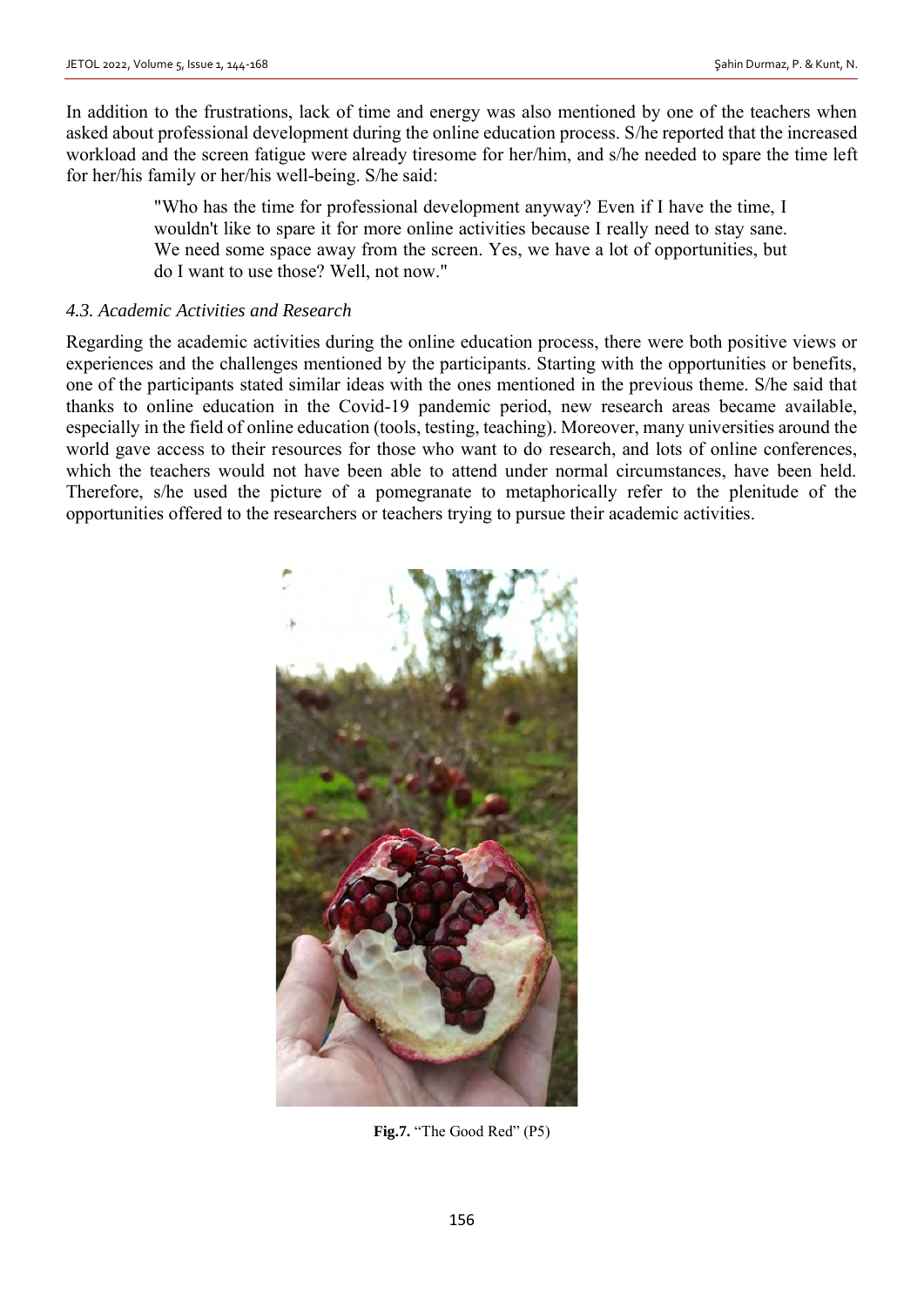In addition to the frustrations, lack of time and energy was also mentioned by one of the teachers when asked about professional development during the online education process. S/he reported that the increased workload and the screen fatigue were already tiresome for her/him, and s/he needed to spare the time left for her/his family or her/his well-being. S/he said:

> "Who has the time for professional development anyway? Even if I have the time, I wouldn't like to spare it for more online activities because I really need to stay sane. We need some space away from the screen. Yes, we have a lot of opportunities, but do I want to use those? Well, not now."

### *4.3. Academic Activities and Research*

Regarding the academic activities during the online education process, there were both positive views or experiences and the challenges mentioned by the participants. Starting with the opportunities or benefits, one of the participants stated similar ideas with the ones mentioned in the previous theme. S/he said that thanks to online education in the Covid-19 pandemic period, new research areas became available, especially in the field of online education (tools, testing, teaching). Moreover, many universities around the world gave access to their resources for those who want to do research, and lots of online conferences, which the teachers would not have been able to attend under normal circumstances, have been held. Therefore, s/he used the picture of a pomegranate to metaphorically refer to the plenitude of the opportunities offered to the researchers or teachers trying to pursue their academic activities.



**Fig.7.** "The Good Red" (P5)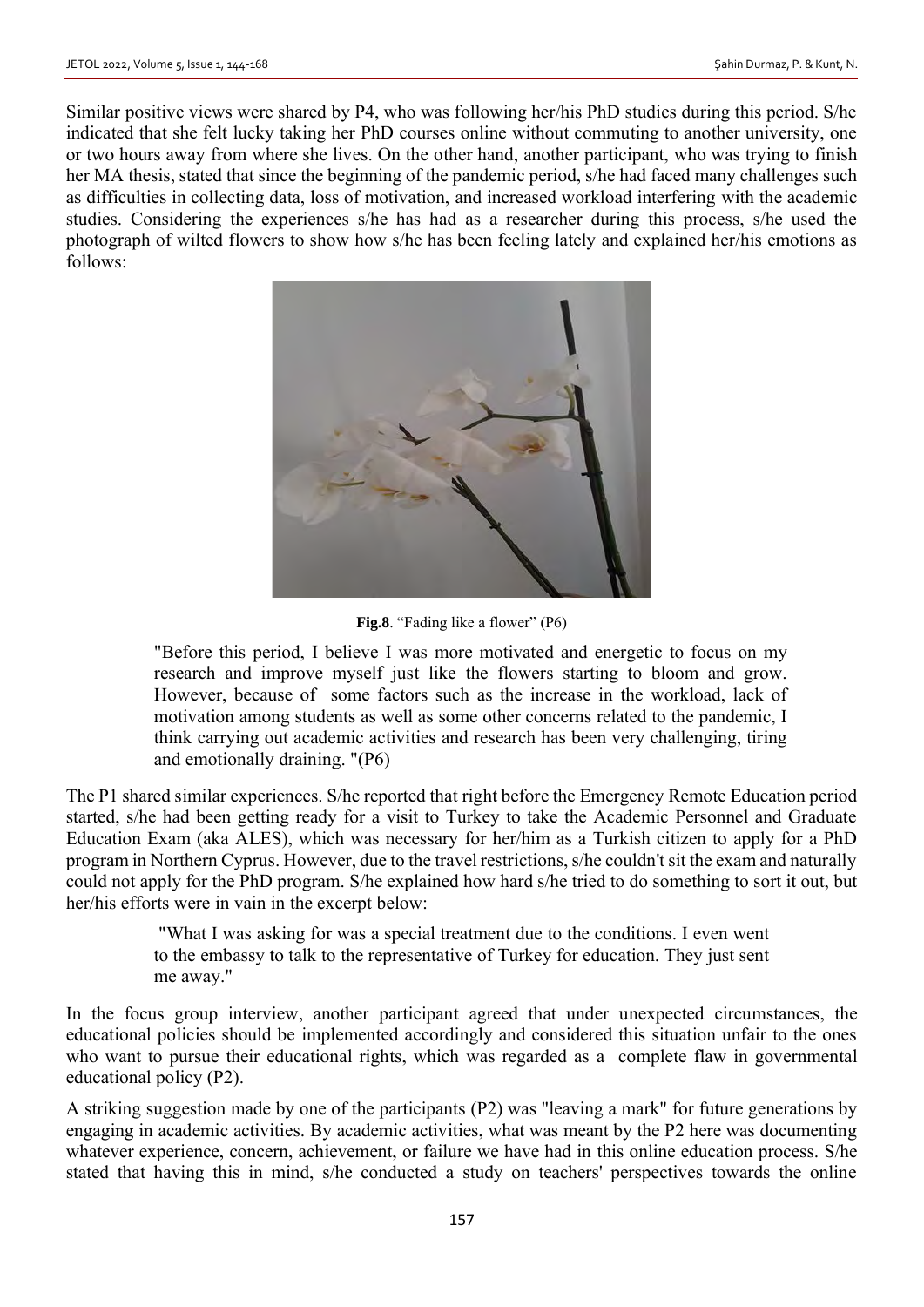Similar positive views were shared by P4, who was following her/his PhD studies during this period. S/he indicated that she felt lucky taking her PhD courses online without commuting to another university, one or two hours away from where she lives. On the other hand, another participant, who was trying to finish her MA thesis, stated that since the beginning of the pandemic period, s/he had faced many challenges such as difficulties in collecting data, loss of motivation, and increased workload interfering with the academic studies. Considering the experiences s/he has had as a researcher during this process, s/he used the photograph of wilted flowers to show how s/he has been feeling lately and explained her/his emotions as follows:



Fig.8. "Fading like a flower" (P6)

"Before this period, I believe I was more motivated and energetic to focus on my research and improve myself just like the flowers starting to bloom and grow. However, because of some factors such as the increase in the workload, lack of motivation among students as well as some other concerns related to the pandemic, I think carrying out academic activities and research has been very challenging, tiring and emotionally draining. "(P6)

The P1 shared similar experiences. S/he reported that right before the Emergency Remote Education period started, s/he had been getting ready for a visit to Turkey to take the Academic Personnel and Graduate Education Exam (aka ALES), which was necessary for her/him as a Turkish citizen to apply for a PhD program in Northern Cyprus. However, due to the travel restrictions, s/he couldn't sit the exam and naturally could not apply for the PhD program. S/he explained how hard s/he tried to do something to sort it out, but her/his efforts were in vain in the excerpt below:

> "What I was asking for was a special treatment due to the conditions. I even went to the embassy to talk to the representative of Turkey for education. They just sent me away."

In the focus group interview, another participant agreed that under unexpected circumstances, the educational policies should be implemented accordingly and considered this situation unfair to the ones who want to pursue their educational rights, which was regarded as a complete flaw in governmental educational policy (P2).

A striking suggestion made by one of the participants (P2) was "leaving a mark" for future generations by engaging in academic activities. By academic activities, what was meant by the P2 here was documenting whatever experience, concern, achievement, or failure we have had in this online education process. S/he stated that having this in mind, s/he conducted a study on teachers' perspectives towards the online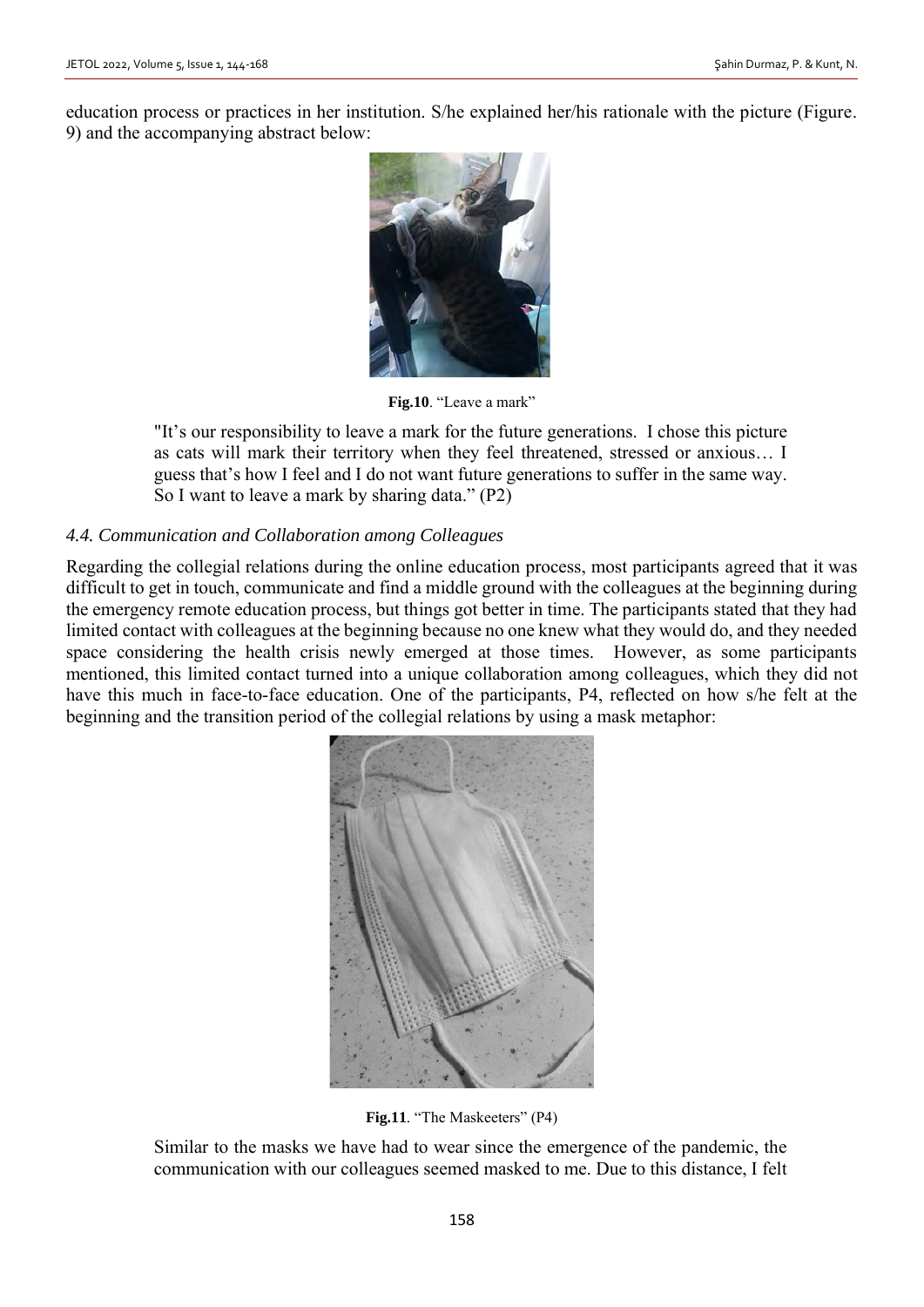education process or practices in her institution. S/he explained her/his rationale with the picture (Figure. 9) and the accompanying abstract below:



**Fig.10**. "Leave a mark"

"It's our responsibility to leave a mark for the future generations. I chose this picture as cats will mark their territory when they feel threatened, stressed or anxious… I guess that's how I feel and I do not want future generations to suffer in the same way. So I want to leave a mark by sharing data." (P2)

# *4.4. Communication and Collaboration among Colleagues*

Regarding the collegial relations during the online education process, most participants agreed that it was difficult to get in touch, communicate and find a middle ground with the colleagues at the beginning during the emergency remote education process, but things got better in time. The participants stated that they had limited contact with colleagues at the beginning because no one knew what they would do, and they needed space considering the health crisis newly emerged at those times. However, as some participants mentioned, this limited contact turned into a unique collaboration among colleagues, which they did not have this much in face-to-face education. One of the participants, P4, reflected on how s/he felt at the beginning and the transition period of the collegial relations by using a mask metaphor:



Fig.11. "The Maskeeters" (P4)

Similar to the masks we have had to wear since the emergence of the pandemic, the communication with our colleagues seemed masked to me. Due to this distance, I felt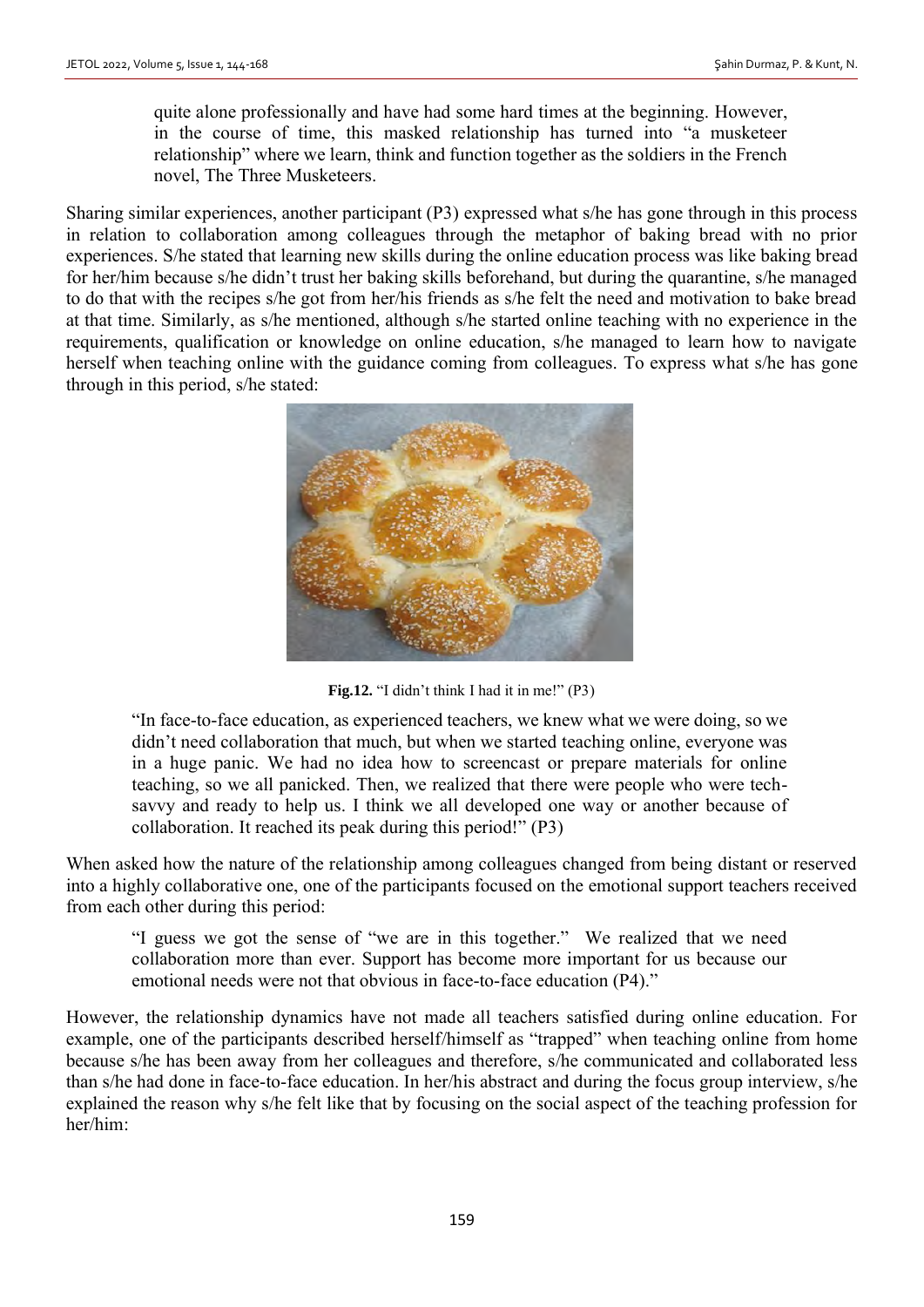quite alone professionally and have had some hard times at the beginning. However, in the course of time, this masked relationship has turned into "a musketeer relationship" where we learn, think and function together as the soldiers in the French novel, The Three Musketeers.

Sharing similar experiences, another participant (P3) expressed what s/he has gone through in this process in relation to collaboration among colleagues through the metaphor of baking bread with no prior experiences. S/he stated that learning new skills during the online education process was like baking bread for her/him because s/he didn't trust her baking skills beforehand, but during the quarantine, s/he managed to do that with the recipes s/he got from her/his friends as s/he felt the need and motivation to bake bread at that time. Similarly, as s/he mentioned, although s/he started online teaching with no experience in the requirements, qualification or knowledge on online education, s/he managed to learn how to navigate herself when teaching online with the guidance coming from colleagues. To express what s/he has gone through in this period, s/he stated:



**Fig.12.** "I didn't think I had it in me!" (P3)

"In face-to-face education, as experienced teachers, we knew what we were doing, so we didn't need collaboration that much, but when we started teaching online, everyone was in a huge panic. We had no idea how to screencast or prepare materials for online teaching, so we all panicked. Then, we realized that there were people who were techsavvy and ready to help us. I think we all developed one way or another because of collaboration. It reached its peak during this period!" (P3)

When asked how the nature of the relationship among colleagues changed from being distant or reserved into a highly collaborative one, one of the participants focused on the emotional support teachers received from each other during this period:

"I guess we got the sense of "we are in this together." We realized that we need collaboration more than ever. Support has become more important for us because our emotional needs were not that obvious in face-to-face education (P4)."

However, the relationship dynamics have not made all teachers satisfied during online education. For example, one of the participants described herself/himself as "trapped" when teaching online from home because s/he has been away from her colleagues and therefore, s/he communicated and collaborated less than s/he had done in face-to-face education. In her/his abstract and during the focus group interview, s/he explained the reason why s/he felt like that by focusing on the social aspect of the teaching profession for her/him: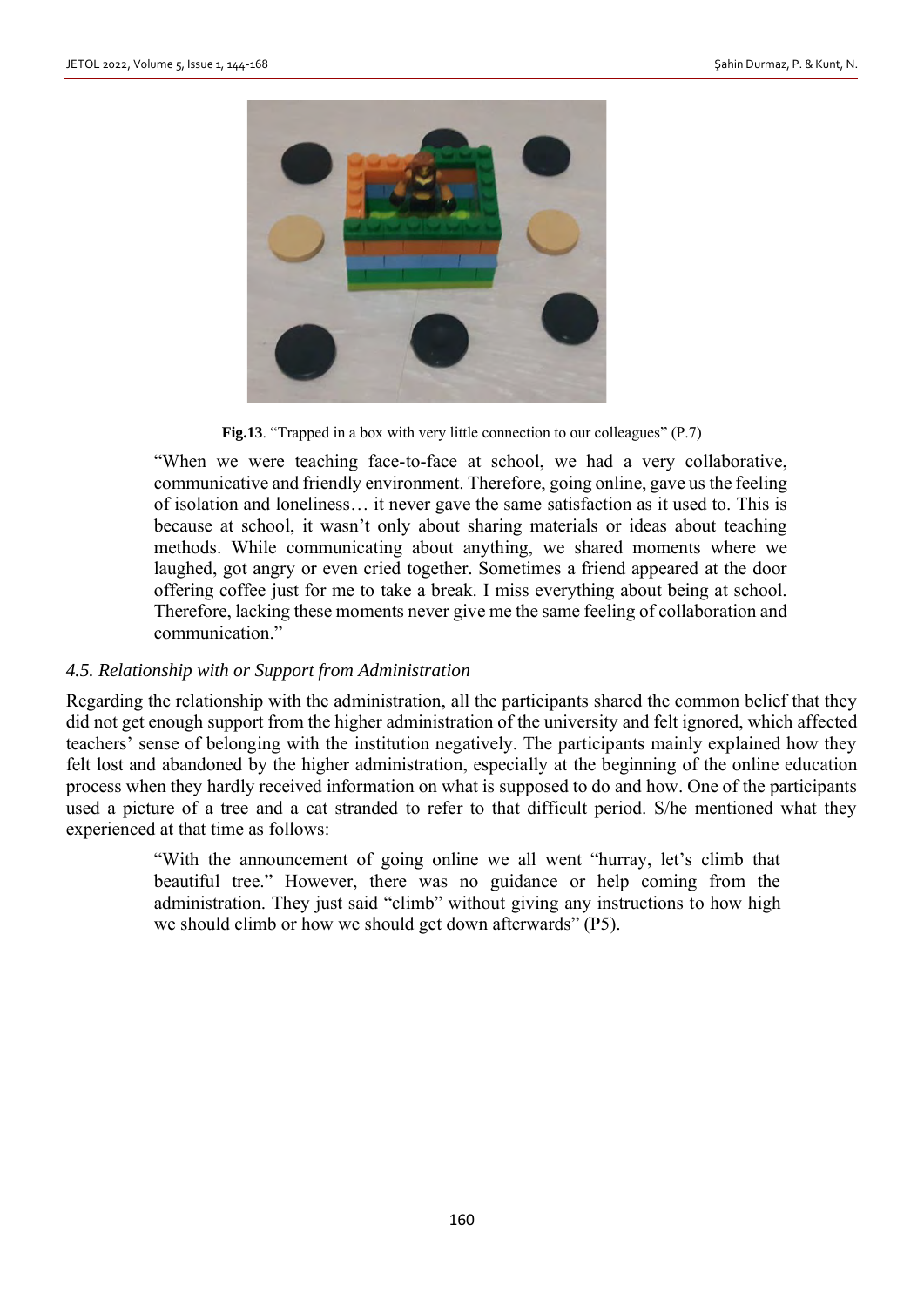

**Fig.13**. "Trapped in a box with very little connection to our colleagues" (P.7)

"When we were teaching face-to-face at school, we had a very collaborative, communicative and friendly environment. Therefore, going online, gave us the feeling of isolation and loneliness… it never gave the same satisfaction as it used to. This is because at school, it wasn't only about sharing materials or ideas about teaching methods. While communicating about anything, we shared moments where we laughed, got angry or even cried together. Sometimes a friend appeared at the door offering coffee just for me to take a break. I miss everything about being at school. Therefore, lacking these moments never give me the same feeling of collaboration and communication."

#### *4.5. Relationship with or Support from Administration*

Regarding the relationship with the administration, all the participants shared the common belief that they did not get enough support from the higher administration of the university and felt ignored, which affected teachers' sense of belonging with the institution negatively. The participants mainly explained how they felt lost and abandoned by the higher administration, especially at the beginning of the online education process when they hardly received information on what is supposed to do and how. One of the participants used a picture of a tree and a cat stranded to refer to that difficult period. S/he mentioned what they experienced at that time as follows:

> "With the announcement of going online we all went "hurray, let's climb that beautiful tree." However, there was no guidance or help coming from the administration. They just said "climb" without giving any instructions to how high we should climb or how we should get down afterwards" (P5).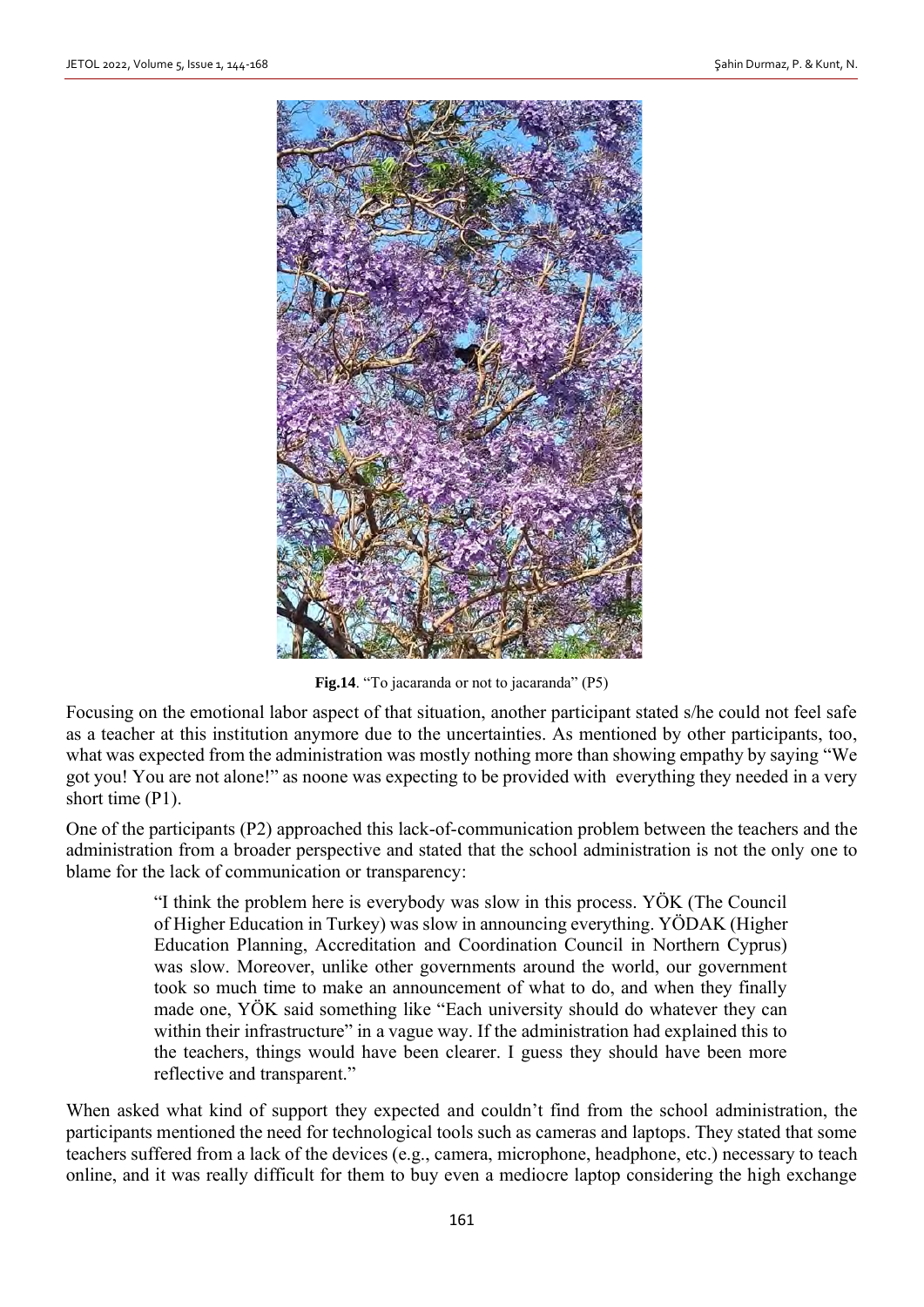

Fig.14. "To jacaranda or not to jacaranda" (P5)

Focusing on the emotional labor aspect of that situation, another participant stated s/he could not feel safe as a teacher at this institution anymore due to the uncertainties. As mentioned by other participants, too, what was expected from the administration was mostly nothing more than showing empathy by saying "We got you! You are not alone!" as noone was expecting to be provided with everything they needed in a very short time (P1).

One of the participants (P2) approached this lack-of-communication problem between the teachers and the administration from a broader perspective and stated that the school administration is not the only one to blame for the lack of communication or transparency:

> "I think the problem here is everybody was slow in this process. YÖK (The Council of Higher Education in Turkey) was slow in announcing everything. YÖDAK (Higher Education Planning, Accreditation and Coordination Council in Northern Cyprus) was slow. Moreover, unlike other governments around the world, our government took so much time to make an announcement of what to do, and when they finally made one, YÖK said something like "Each university should do whatever they can within their infrastructure" in a vague way. If the administration had explained this to the teachers, things would have been clearer. I guess they should have been more reflective and transparent."

When asked what kind of support they expected and couldn't find from the school administration, the participants mentioned the need for technological tools such as cameras and laptops. They stated that some teachers suffered from a lack of the devices (e.g., camera, microphone, headphone, etc.) necessary to teach online, and it was really difficult for them to buy even a mediocre laptop considering the high exchange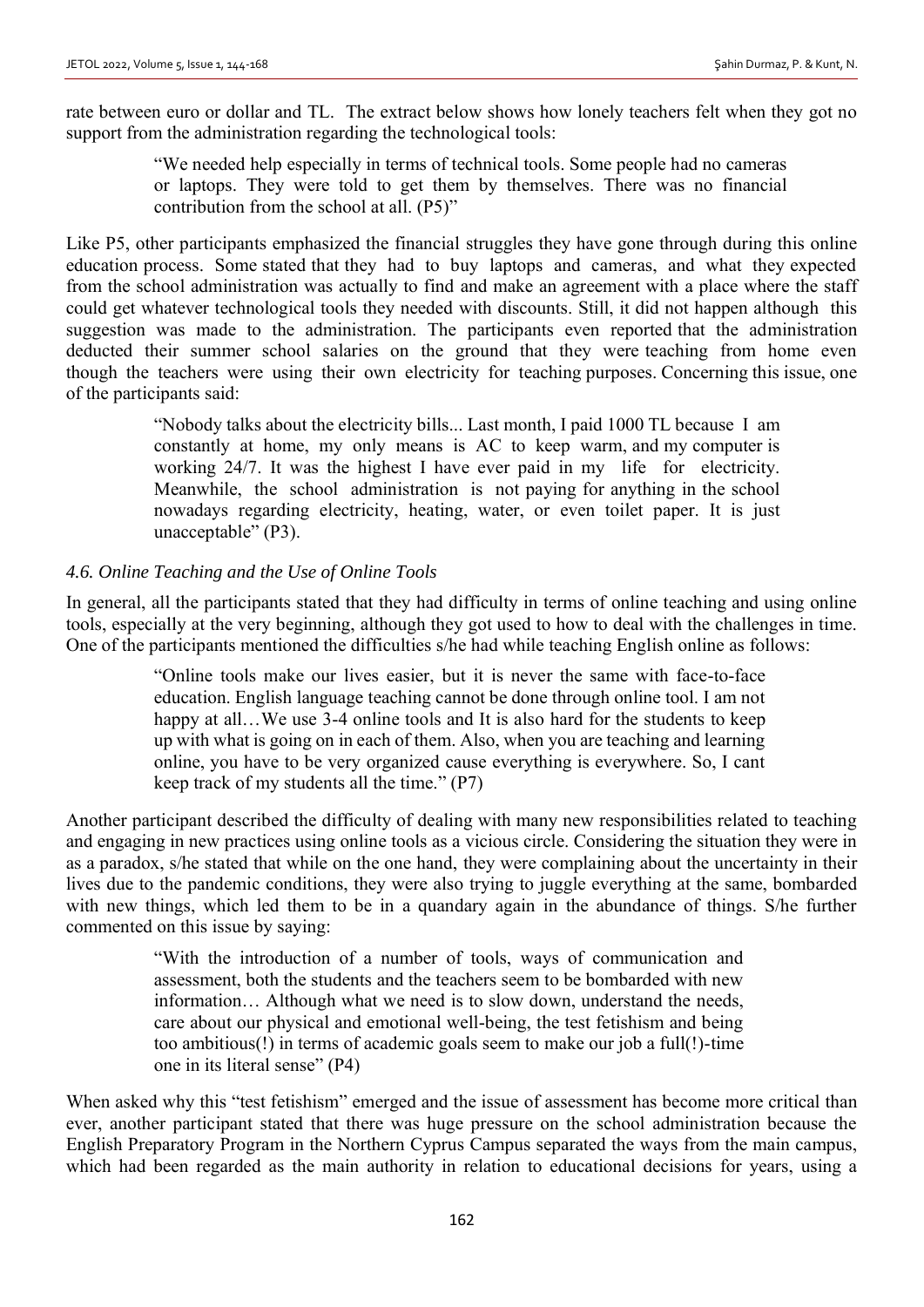rate between euro or dollar and TL. The extract below shows how lonely teachers felt when they got no support from the administration regarding the technological tools:

> "We needed help especially in terms of technical tools. Some people had no cameras or laptops. They were told to get them by themselves. There was no financial contribution from the school at all. (P5)"

Like P5, other participants emphasized the financial struggles they have gone through during this online education process. Some stated that they had to buy laptops and cameras, and what they expected from the school administration was actually to find and make an agreement with a place where the staff could get whatever technological tools they needed with discounts. Still, it did not happen although this suggestion was made to the administration. The participants even reported that the administration deducted their summer school salaries on the ground that they were teaching from home even though the teachers were using their own electricity for teaching purposes. Concerning this issue, one of the participants said:

> "Nobody talks about the electricity bills... Last month, I paid 1000 TL because I am constantly at home, my only means is AC to keep warm, and my computer is working 24/7. It was the highest I have ever paid in my life for electricity. Meanwhile, the school administration is not paying for anything in the school nowadays regarding electricity, heating, water, or even toilet paper. It is just unacceptable" (P3).

# *4.6. Online Teaching and the Use of Online Tools*

In general, all the participants stated that they had difficulty in terms of online teaching and using online tools, especially at the very beginning, although they got used to how to deal with the challenges in time. One of the participants mentioned the difficulties s/he had while teaching English online as follows:

> "Online tools make our lives easier, but it is never the same with face-to-face education. English language teaching cannot be done through online tool. I am not happy at all...We use 3-4 online tools and It is also hard for the students to keep up with what is going on in each of them. Also, when you are teaching and learning online, you have to be very organized cause everything is everywhere. So, I cant keep track of my students all the time." (P7)

Another participant described the difficulty of dealing with many new responsibilities related to teaching and engaging in new practices using online tools as a vicious circle. Considering the situation they were in as a paradox, s/he stated that while on the one hand, they were complaining about the uncertainty in their lives due to the pandemic conditions, they were also trying to juggle everything at the same, bombarded with new things, which led them to be in a quandary again in the abundance of things. S/he further commented on this issue by saying:

> "With the introduction of a number of tools, ways of communication and assessment, both the students and the teachers seem to be bombarded with new information… Although what we need is to slow down, understand the needs, care about our physical and emotional well-being, the test fetishism and being too ambitious(!) in terms of academic goals seem to make our job a full(!)-time one in its literal sense" (P4)

When asked why this "test fetishism" emerged and the issue of assessment has become more critical than ever, another participant stated that there was huge pressure on the school administration because the English Preparatory Program in the Northern Cyprus Campus separated the ways from the main campus, which had been regarded as the main authority in relation to educational decisions for years, using a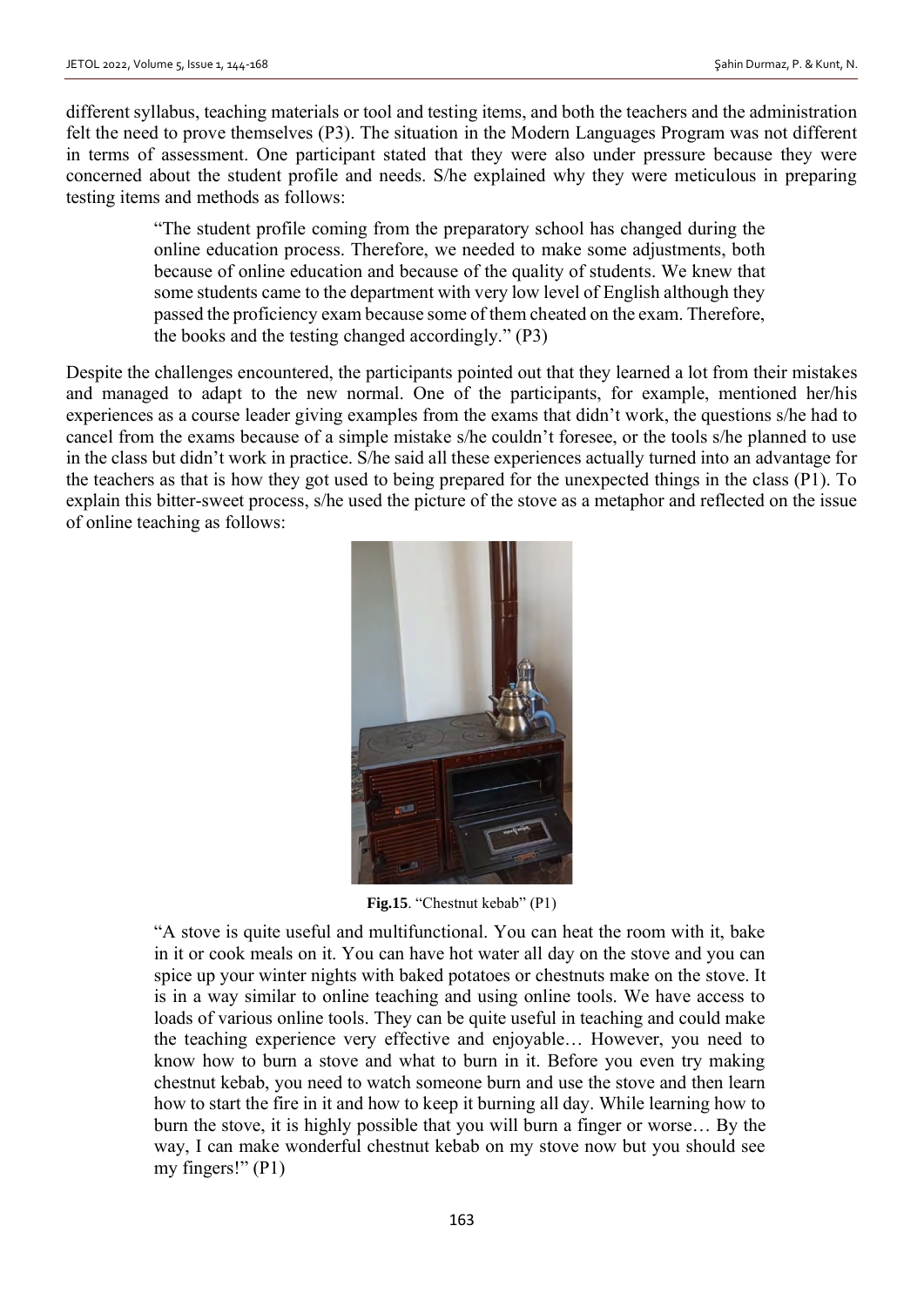different syllabus, teaching materials or tool and testing items, and both the teachers and the administration felt the need to prove themselves (P3). The situation in the Modern Languages Program was not different in terms of assessment. One participant stated that they were also under pressure because they were concerned about the student profile and needs. S/he explained why they were meticulous in preparing testing items and methods as follows:

> "The student profile coming from the preparatory school has changed during the online education process. Therefore, we needed to make some adjustments, both because of online education and because of the quality of students. We knew that some students came to the department with very low level of English although they passed the proficiency exam because some of them cheated on the exam. Therefore, the books and the testing changed accordingly." (P3)

Despite the challenges encountered, the participants pointed out that they learned a lot from their mistakes and managed to adapt to the new normal. One of the participants, for example, mentioned her/his experiences as a course leader giving examples from the exams that didn't work, the questions s/he had to cancel from the exams because of a simple mistake s/he couldn't foresee, or the tools s/he planned to use in the class but didn't work in practice. S/he said all these experiences actually turned into an advantage for the teachers as that is how they got used to being prepared for the unexpected things in the class (P1). To explain this bitter-sweet process, s/he used the picture of the stove as a metaphor and reflected on the issue of online teaching as follows:



**Fig.15**. "Chestnut kebab" (P1)

"A stove is quite useful and multifunctional. You can heat the room with it, bake in it or cook meals on it. You can have hot water all day on the stove and you can spice up your winter nights with baked potatoes or chestnuts make on the stove. It is in a way similar to online teaching and using online tools. We have access to loads of various online tools. They can be quite useful in teaching and could make the teaching experience very effective and enjoyable… However, you need to know how to burn a stove and what to burn in it. Before you even try making chestnut kebab, you need to watch someone burn and use the stove and then learn how to start the fire in it and how to keep it burning all day. While learning how to burn the stove, it is highly possible that you will burn a finger or worse… By the way, I can make wonderful chestnut kebab on my stove now but you should see my fingers!" (P1)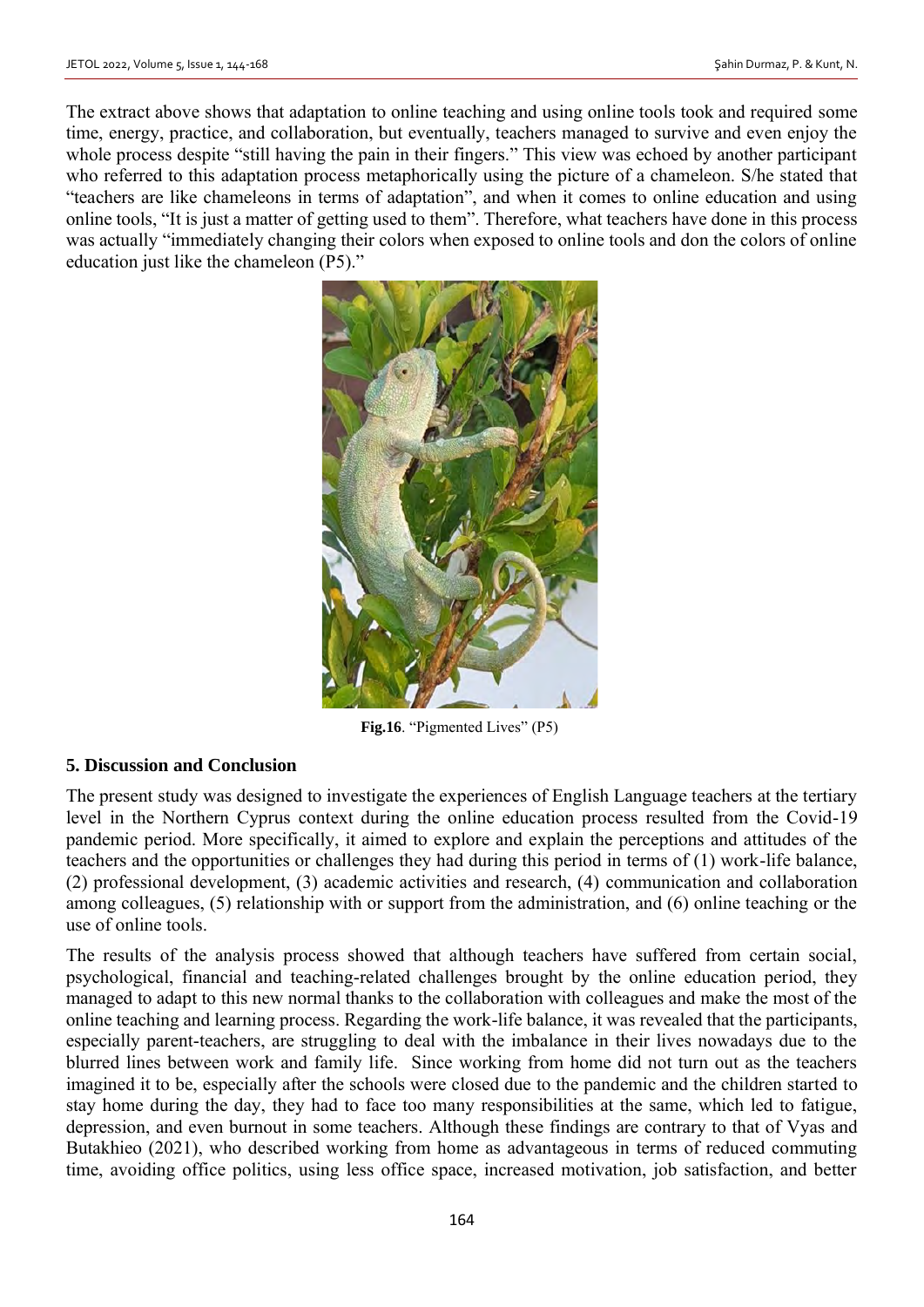The extract above shows that adaptation to online teaching and using online tools took and required some time, energy, practice, and collaboration, but eventually, teachers managed to survive and even enjoy the whole process despite "still having the pain in their fingers." This view was echoed by another participant who referred to this adaptation process metaphorically using the picture of a chameleon. S/he stated that "teachers are like chameleons in terms of adaptation", and when it comes to online education and using online tools, "It is just a matter of getting used to them". Therefore, what teachers have done in this process was actually "immediately changing their colors when exposed to online tools and don the colors of online education just like the chameleon (P5)."



Fig.16. "Pigmented Lives" (P5)

### **5. Discussion and Conclusion**

The present study was designed to investigate the experiences of English Language teachers at the tertiary level in the Northern Cyprus context during the online education process resulted from the Covid-19 pandemic period. More specifically, it aimed to explore and explain the perceptions and attitudes of the teachers and the opportunities or challenges they had during this period in terms of (1) work-life balance, (2) professional development, (3) academic activities and research, (4) communication and collaboration among colleagues, (5) relationship with or support from the administration, and (6) online teaching or the use of online tools.

The results of the analysis process showed that although teachers have suffered from certain social, psychological, financial and teaching-related challenges brought by the online education period, they managed to adapt to this new normal thanks to the collaboration with colleagues and make the most of the online teaching and learning process. Regarding the work-life balance, it was revealed that the participants, especially parent-teachers, are struggling to deal with the imbalance in their lives nowadays due to the blurred lines between work and family life. Since working from home did not turn out as the teachers imagined it to be, especially after the schools were closed due to the pandemic and the children started to stay home during the day, they had to face too many responsibilities at the same, which led to fatigue, depression, and even burnout in some teachers. Although these findings are contrary to that of Vyas and Butakhieo (2021), who described working from home as advantageous in terms of reduced commuting time, avoiding office politics, using less office space, increased motivation, job satisfaction, and better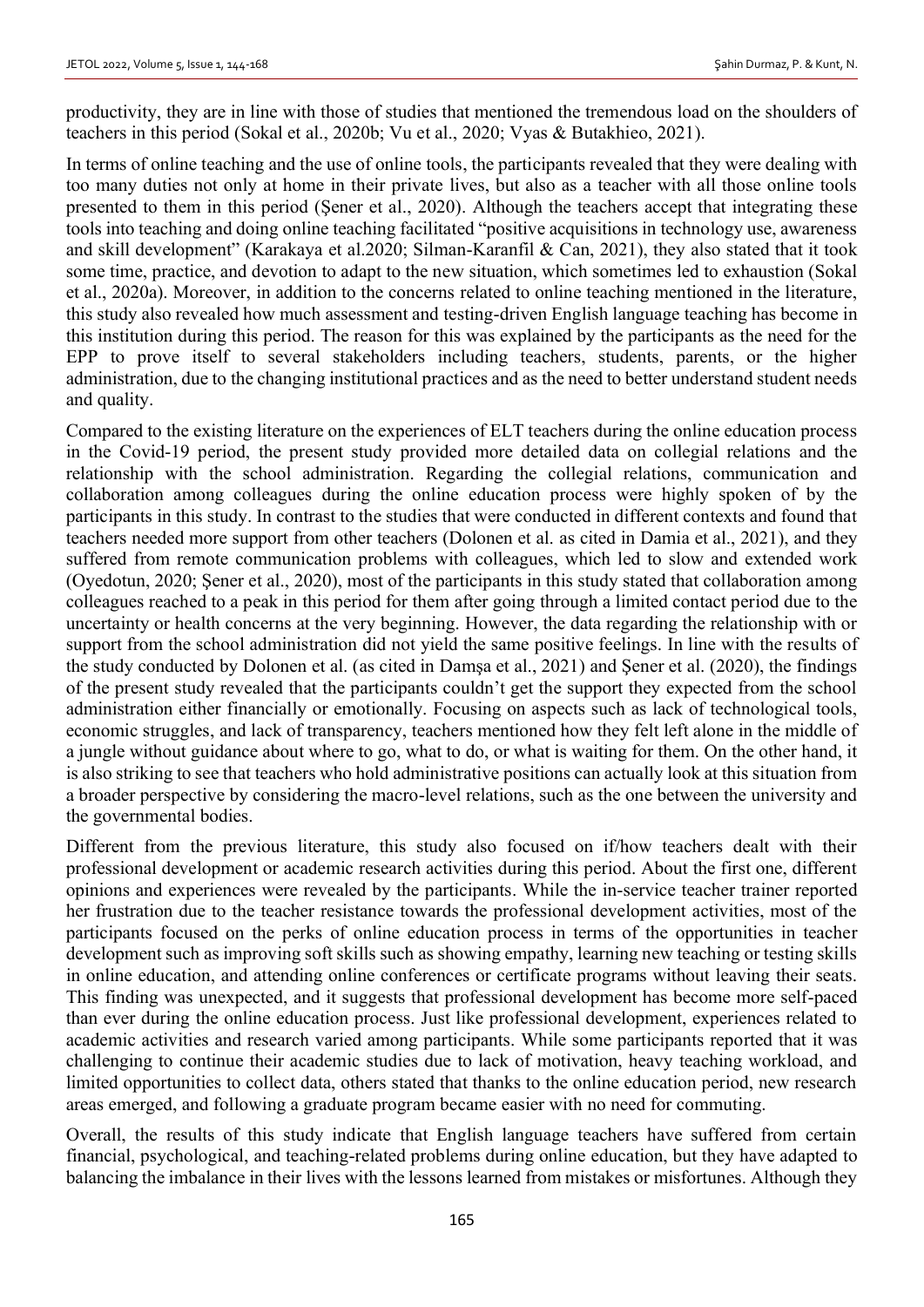productivity, they are in line with those of studies that mentioned the tremendous load on the shoulders of teachers in this period (Sokal et al., 2020b; Vu et al., 2020; Vyas & Butakhieo, 2021).

In terms of online teaching and the use of online tools, the participants revealed that they were dealing with too many duties not only at home in their private lives, but also as a teacher with all those online tools presented to them in this period (Şener et al., 2020). Although the teachers accept that integrating these tools into teaching and doing online teaching facilitated "positive acquisitions in technology use, awareness and skill development" (Karakaya et al.2020; Silman-Karanfil & Can, 2021), they also stated that it took some time, practice, and devotion to adapt to the new situation, which sometimes led to exhaustion (Sokal et al., 2020a). Moreover, in addition to the concerns related to online teaching mentioned in the literature, this study also revealed how much assessment and testing-driven English language teaching has become in this institution during this period. The reason for this was explained by the participants as the need for the EPP to prove itself to several stakeholders including teachers, students, parents, or the higher administration, due to the changing institutional practices and as the need to better understand student needs and quality.

Compared to the existing literature on the experiences of ELT teachers during the online education process in the Covid-19 period, the present study provided more detailed data on collegial relations and the relationship with the school administration. Regarding the collegial relations, communication and collaboration among colleagues during the online education process were highly spoken of by the participants in this study. In contrast to the studies that were conducted in different contexts and found that teachers needed more support from other teachers (Dolonen et al. as cited in Damia et al., 2021), and they suffered from remote communication problems with colleagues, which led to slow and extended work (Oyedotun, 2020; Şener et al., 2020), most of the participants in this study stated that collaboration among colleagues reached to a peak in this period for them after going through a limited contact period due to the uncertainty or health concerns at the very beginning. However, the data regarding the relationship with or support from the school administration did not yield the same positive feelings. In line with the results of the study conducted by Dolonen et al. (as cited in Damşa et al., 2021) and Şener et al. (2020), the findings of the present study revealed that the participants couldn't get the support they expected from the school administration either financially or emotionally. Focusing on aspects such as lack of technological tools, economic struggles, and lack of transparency, teachers mentioned how they felt left alone in the middle of a jungle without guidance about where to go, what to do, or what is waiting for them. On the other hand, it is also striking to see that teachers who hold administrative positions can actually look at this situation from a broader perspective by considering the macro-level relations, such as the one between the university and the governmental bodies.

Different from the previous literature, this study also focused on if/how teachers dealt with their professional development or academic research activities during this period. About the first one, different opinions and experiences were revealed by the participants. While the in-service teacher trainer reported her frustration due to the teacher resistance towards the professional development activities, most of the participants focused on the perks of online education process in terms of the opportunities in teacher development such as improving soft skills such as showing empathy, learning new teaching or testing skills in online education, and attending online conferences or certificate programs without leaving their seats. This finding was unexpected, and it suggests that professional development has become more self-paced than ever during the online education process. Just like professional development, experiences related to academic activities and research varied among participants. While some participants reported that it was challenging to continue their academic studies due to lack of motivation, heavy teaching workload, and limited opportunities to collect data, others stated that thanks to the online education period, new research areas emerged, and following a graduate program became easier with no need for commuting.

Overall, the results of this study indicate that English language teachers have suffered from certain financial, psychological, and teaching-related problems during online education, but they have adapted to balancing the imbalance in their lives with the lessons learned from mistakes or misfortunes. Although they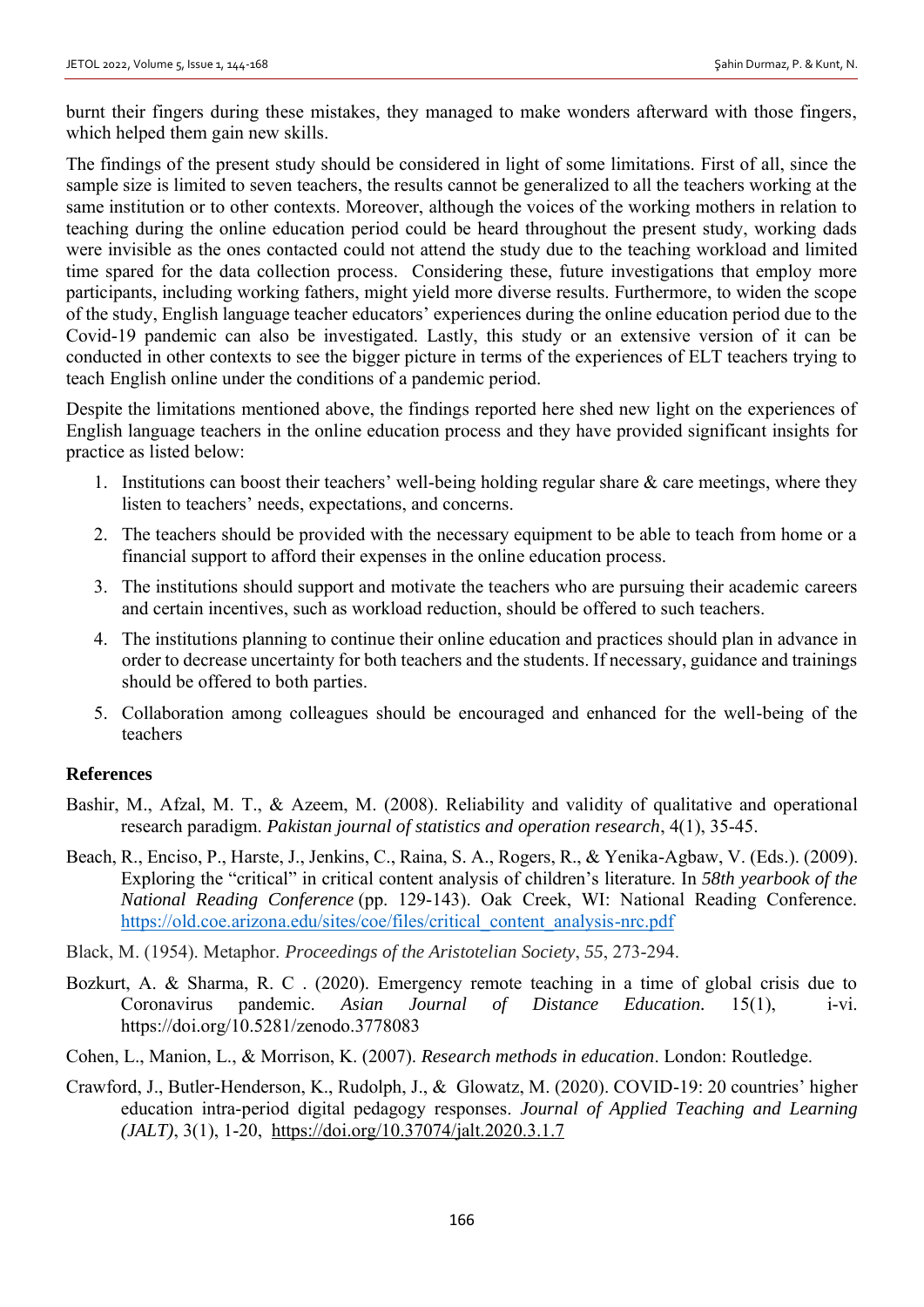burnt their fingers during these mistakes, they managed to make wonders afterward with those fingers, which helped them gain new skills.

The findings of the present study should be considered in light of some limitations. First of all, since the sample size is limited to seven teachers, the results cannot be generalized to all the teachers working at the same institution or to other contexts. Moreover, although the voices of the working mothers in relation to teaching during the online education period could be heard throughout the present study, working dads were invisible as the ones contacted could not attend the study due to the teaching workload and limited time spared for the data collection process. Considering these, future investigations that employ more participants, including working fathers, might yield more diverse results. Furthermore, to widen the scope of the study, English language teacher educators' experiences during the online education period due to the Covid-19 pandemic can also be investigated. Lastly, this study or an extensive version of it can be conducted in other contexts to see the bigger picture in terms of the experiences of ELT teachers trying to teach English online under the conditions of a pandemic period.

Despite the limitations mentioned above, the findings reported here shed new light on the experiences of English language teachers in the online education process and they have provided significant insights for practice as listed below:

- 1. Institutions can boost their teachers' well-being holding regular share  $\&$  care meetings, where they listen to teachers' needs, expectations, and concerns.
- 2. The teachers should be provided with the necessary equipment to be able to teach from home or a financial support to afford their expenses in the online education process.
- 3. The institutions should support and motivate the teachers who are pursuing their academic careers and certain incentives, such as workload reduction, should be offered to such teachers.
- 4. The institutions planning to continue their online education and practices should plan in advance in order to decrease uncertainty for both teachers and the students. If necessary, guidance and trainings should be offered to both parties.
- 5. Collaboration among colleagues should be encouraged and enhanced for the well-being of the teachers

### **References**

- Bashir, M., Afzal, M. T., & Azeem, M. (2008). Reliability and validity of qualitative and operational research paradigm. *Pakistan journal of statistics and operation research*, 4(1), 35-45.
- Beach, R., Enciso, P., Harste, J., Jenkins, C., Raina, S. A., Rogers, R., & Yenika-Agbaw, V. (Eds.). (2009). Exploring the "critical" in critical content analysis of children's literature. In *58th yearbook of the National Reading Conference* (pp. 129-143). Oak Creek, WI: National Reading Conference. [https://old.coe.arizona.edu/sites/coe/files/critical\\_content\\_analysis-nrc.pdf](https://old.coe.arizona.edu/sites/coe/files/critical_content_analysis-nrc.pdf)
- Black, M. (1954). Metaphor. *Proceedings of the Aristotelian Society*, *55*, 273-294.
- Bozkurt, A. & Sharma, R. C . (2020). Emergency remote teaching in a time of global crisis due to Coronavirus pandemic. *Asian Journal of Distance Education.* 15(1), i-vi. https://doi.org/10.5281/zenodo.3778083
- Cohen, L., Manion, L., & Morrison, K. (2007). *Research methods in education*. London: Routledge.
- Crawford, J., Butler-Henderson, K., Rudolph, J., & Glowatz, M. (2020). COVID-19: 20 countries' higher education intra-period digital pedagogy responses. *Journal of Applied Teaching and Learning (JALT)*, 3(1), 1-20, <https://doi.org/10.37074/jalt.2020.3.1.7>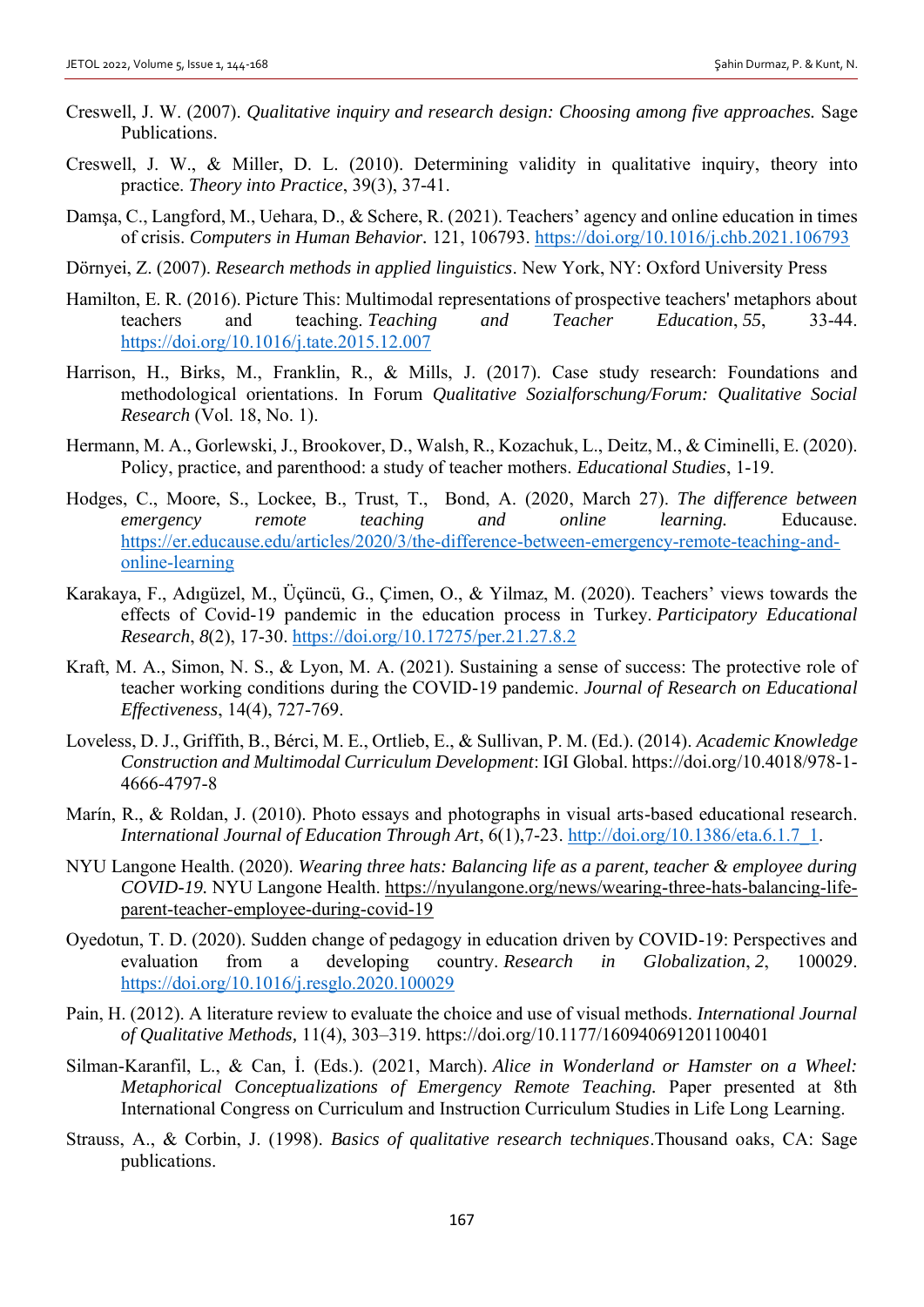- Creswell, J. W. (2007). *Qualitative inquiry and research design: Choosing among five approaches.* Sage Publications.
- Creswell, J. W., & Miller, D. L. (2010). Determining validity in qualitative inquiry, theory into practice. *Theory into Practice*, 39(3), 37-41.
- Damşa, C., Langford, M., Uehara, D., & Schere, R. (2021). Teachers' agency and online education in times of crisis. *Computers in Human Behavior.* 121, 106793.<https://doi.org/10.1016/j.chb.2021.106793>
- Dörnyei, Z. (2007). *Research methods in applied linguistics*. New York, NY: Oxford University Press
- Hamilton, E. R. (2016). Picture This: Multimodal representations of prospective teachers' metaphors about teachers and teaching. *Teaching and Teacher Education*, *55*, 33-44. <https://doi.org/10.1016/j.tate.2015.12.007>
- Harrison, H., Birks, M., Franklin, R., & Mills, J. (2017). Case study research: Foundations and methodological orientations. In Forum *Qualitative Sozialforschung/Forum: Qualitative Social Research* (Vol. 18, No. 1).
- Hermann, M. A., Gorlewski, J., Brookover, D., Walsh, R., Kozachuk, L., Deitz, M., & Ciminelli, E. (2020). Policy, practice, and parenthood: a study of teacher mothers. *Educational Studies*, 1-19.
- Hodges, C., Moore, S., Lockee, B., Trust, T., Bond, A. (2020, March 27). *The difference between emergency remote teaching and online learning.* Educause. [https://er.educause.edu/articles/2020/3/the-difference-between-emergency-remote-teaching-and](https://er.educause.edu/articles/2020/3/the-difference-between-emergency-remote-teaching-and-online-learning)[online-learning](https://er.educause.edu/articles/2020/3/the-difference-between-emergency-remote-teaching-and-online-learning)
- Karakaya, F., Adıgüzel, M., Üçüncü, G., Çimen, O., & Yilmaz, M. (2020). Teachers' views towards the effects of Covid-19 pandemic in the education process in Turkey. *Participatory Educational Research*, *8*(2), 17-30. <https://doi.org/10.17275/per.21.27.8.2>
- Kraft, M. A., Simon, N. S., & Lyon, M. A. (2021). Sustaining a sense of success: The protective role of teacher working conditions during the COVID-19 pandemic. *Journal of Research on Educational Effectiveness*, 14(4), 727-769.
- Loveless, D. J., Griffith, B., Bérci, M. E., Ortlieb, E., & Sullivan, P. M. (Ed.). (2014). *Academic Knowledge Construction and Multimodal Curriculum Development*: IGI Global. https://doi.org/10.4018/978-1- 4666-4797-8
- Marín, R., & Roldan, J. (2010). Photo essays and photographs in visual arts-based educational research. *International Journal of Education Through Art*, 6(1),7-23. [http://doi.org/10.1386/eta.6.1.7\\_1.](http://doi.org/10.1386/eta.6.1.7_1)
- NYU Langone Health. (2020). *Wearing three hats: Balancing life as a parent, teacher & employee during COVID-19.* NYU Langone Health. [https://nyulangone.org/news/wearing-three-hats-balancing-life](https://nyulangone.org/news/wearing-three-hats-balancing-life-parent-teacher-employee-during-covid-19)[parent-teacher-employee-during-covid-19](https://nyulangone.org/news/wearing-three-hats-balancing-life-parent-teacher-employee-during-covid-19)
- Oyedotun, T. D. (2020). Sudden change of pedagogy in education driven by COVID-19: Perspectives and evaluation from a developing country. *Research in Globalization*, *2*, 100029. <https://doi.org/10.1016/j.resglo.2020.100029>
- Pain, H. (2012). A literature review to evaluate the choice and use of visual methods. *International Journal of Qualitative Methods,* 11(4), 303–319. https://doi.org/10.1177/160940691201100401
- Silman-Karanfil, L., & Can, İ. (Eds.). (2021, March). *Alice in Wonderland or Hamster on a Wheel: Metaphorical Conceptualizations of Emergency Remote Teaching.* Paper presented at 8th International Congress on Curriculum and Instruction Curriculum Studies in Life Long Learning.
- Strauss, A., & Corbin, J. (1998). *Basics of qualitative research techniques*.Thousand oaks, CA: Sage publications.